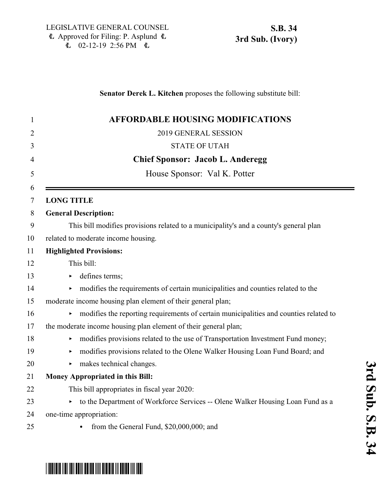\*SB0034S03\*

### **Senator Derek L. Kitchen** proposes the following substitute bill:

| <b>AFFORDABLE HOUSING MODIFICATIONS</b>                                               |
|---------------------------------------------------------------------------------------|
| 2019 GENERAL SESSION                                                                  |
| <b>STATE OF UTAH</b>                                                                  |
| <b>Chief Sponsor: Jacob L. Anderegg</b>                                               |
| House Sponsor: Val K. Potter                                                          |
|                                                                                       |
| <b>LONG TITLE</b>                                                                     |
| <b>General Description:</b>                                                           |
| This bill modifies provisions related to a municipality's and a county's general plan |
| related to moderate income housing.                                                   |
| <b>Highlighted Provisions:</b>                                                        |
| This bill:                                                                            |
| defines terms;<br>Þ                                                                   |
| modifies the requirements of certain municipalities and counties related to the       |
| moderate income housing plan element of their general plan;                           |
| modifies the reporting requirements of certain municipalities and counties related to |
| the moderate income housing plan element of their general plan;                       |
| modifies provisions related to the use of Transportation Investment Fund money;       |
| modifies provisions related to the Olene Walker Housing Loan Fund Board; and          |
| makes technical changes.                                                              |
| Money Appropriated in this Bill:                                                      |
| This bill appropriates in fiscal year 2020:                                           |
| • to the Department of Workforce Services -- Olene Walker Housing Loan Fund as a      |
| one-time appropriation:                                                               |
| from the General Fund, \$20,000,000; and<br>$\bullet$                                 |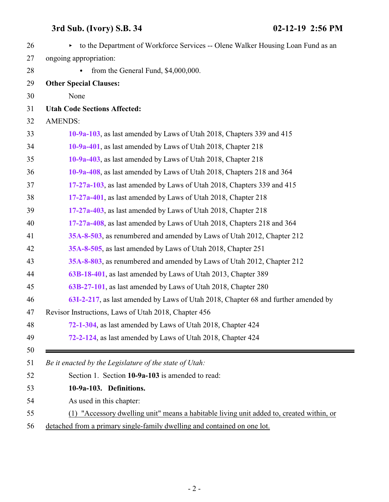<span id="page-1-0"></span>

| 26 | to the Department of Workforce Services -- Olene Walker Housing Loan Fund as an<br>Þ.    |
|----|------------------------------------------------------------------------------------------|
| 27 | ongoing appropriation:                                                                   |
| 28 | from the General Fund, \$4,000,000.                                                      |
| 29 | <b>Other Special Clauses:</b>                                                            |
| 30 | None                                                                                     |
| 31 | <b>Utah Code Sections Affected:</b>                                                      |
| 32 | <b>AMENDS:</b>                                                                           |
| 33 | 10-9a-103, as last amended by Laws of Utah 2018, Chapters 339 and 415                    |
| 34 | 10-9a-401, as last amended by Laws of Utah 2018, Chapter 218                             |
| 35 | 10-9a-403, as last amended by Laws of Utah 2018, Chapter 218                             |
| 36 | 10-9a-408, as last amended by Laws of Utah 2018, Chapters 218 and 364                    |
| 37 | 17-27a-103, as last amended by Laws of Utah 2018, Chapters 339 and 415                   |
| 38 | 17-27a-401, as last amended by Laws of Utah 2018, Chapter 218                            |
| 39 | 17-27a-403, as last amended by Laws of Utah 2018, Chapter 218                            |
| 40 | 17-27a-408, as last amended by Laws of Utah 2018, Chapters 218 and 364                   |
| 41 | 35A-8-503, as renumbered and amended by Laws of Utah 2012, Chapter 212                   |
| 42 | 35A-8-505, as last amended by Laws of Utah 2018, Chapter 251                             |
| 43 | 35A-8-803, as renumbered and amended by Laws of Utah 2012, Chapter 212                   |
| 44 | 63B-18-401, as last amended by Laws of Utah 2013, Chapter 389                            |
| 45 | 63B-27-101, as last amended by Laws of Utah 2018, Chapter 280                            |
| 46 | 63I-2-217, as last amended by Laws of Utah 2018, Chapter 68 and further amended by       |
| 47 | Revisor Instructions, Laws of Utah 2018, Chapter 456                                     |
| 48 | 72-1-304, as last amended by Laws of Utah 2018, Chapter 424                              |
| 49 | 72-2-124, as last amended by Laws of Utah 2018, Chapter 424                              |
| 50 |                                                                                          |
| 51 | Be it enacted by the Legislature of the state of Utah:                                   |
| 52 | Section 1. Section 10-9a-103 is amended to read:                                         |
| 53 | 10-9a-103. Definitions.                                                                  |
| 54 | As used in this chapter:                                                                 |
| 55 | (1) "Accessory dwelling unit" means a habitable living unit added to, created within, or |
| 56 | detached from a primary single-family dwelling and contained on one lot.                 |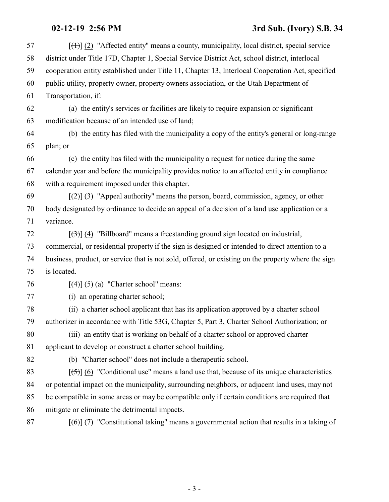| 57 | $[\text{+}]}$ (2) "Affected entity" means a county, municipality, local district, special service   |
|----|-----------------------------------------------------------------------------------------------------|
| 58 | district under Title 17D, Chapter 1, Special Service District Act, school district, interlocal      |
| 59 | cooperation entity established under Title 11, Chapter 13, Interlocal Cooperation Act, specified    |
| 60 | public utility, property owner, property owners association, or the Utah Department of              |
| 61 | Transportation, if:                                                                                 |
| 62 | (a) the entity's services or facilities are likely to require expansion or significant              |
| 63 | modification because of an intended use of land;                                                    |
| 64 | (b) the entity has filed with the municipality a copy of the entity's general or long-range         |
| 65 | plan; or                                                                                            |
| 66 | (c) the entity has filed with the municipality a request for notice during the same                 |
| 67 | calendar year and before the municipality provides notice to an affected entity in compliance       |
| 68 | with a requirement imposed under this chapter.                                                      |
| 69 | $[\frac{1}{2}]$ (3) "Appeal authority" means the person, board, commission, agency, or other        |
| 70 | body designated by ordinance to decide an appeal of a decision of a land use application or a       |
| 71 | variance.                                                                                           |
| 72 | $[\langle 3\rangle]$ (4) "Billboard" means a freestanding ground sign located on industrial,        |
| 73 | commercial, or residential property if the sign is designed or intended to direct attention to a    |
| 74 | business, product, or service that is not sold, offered, or existing on the property where the sign |
| 75 | is located.                                                                                         |
| 76 | $[\left(4\right)]$ (5) (a) "Charter school" means:                                                  |
| 77 | (i) an operating charter school;                                                                    |
| 78 | (ii) a charter school applicant that has its application approved by a charter school               |
| 79 | authorizer in accordance with Title 53G, Chapter 5, Part 3, Charter School Authorization; or        |
| 80 | (iii) an entity that is working on behalf of a charter school or approved charter                   |
| 81 | applicant to develop or construct a charter school building.                                        |
| 82 | (b) "Charter school" does not include a therapeutic school.                                         |
| 83 | $[5]$ (6) "Conditional use" means a land use that, because of its unique characteristics            |
| 84 | or potential impact on the municipality, surrounding neighbors, or adjacent land uses, may not      |
| 85 | be compatible in some areas or may be compatible only if certain conditions are required that       |
| 86 | mitigate or eliminate the detrimental impacts.                                                      |
| 87 | $[\text{6}]$ (7) "Constitutional taking" means a governmental action that results in a taking of    |
|    |                                                                                                     |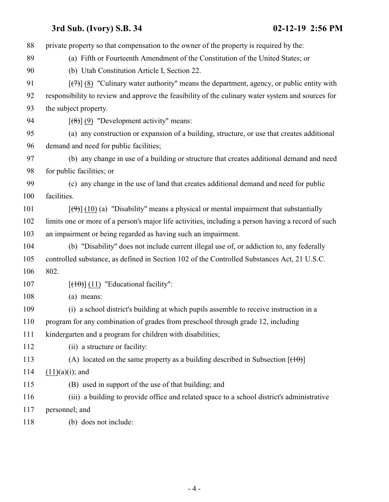private property so that compensation to the owner of the property is required by the: (a) Fifth or Fourteenth Amendment of the Constitution of the United States; or (b) Utah Constitution Article I, Section 22.  $\left[\left(\frac{7}{7}\right)\right]$  (8) "Culinary water authority" means the department, agency, or public entity with responsibility to review and approve the feasibility of the culinary water system and sources for the subject property.  $\left[\frac{1}{8}\right]$  (9) "Development activity" means: (a) any construction or expansion of a building, structure, or use that creates additional demand and need for public facilities; (b) any change in use of a building or structure that creates additional demand and need for public facilities; or (c) any change in the use of land that creates additional demand and need for public facilities.  $[(9)$ ] (10) (a) "Disability" means a physical or mental impairment that substantially limits one or more of a person's major life activities, including a person having a record of such an impairment or being regarded as having such an impairment. (b) "Disability" does not include current illegal use of, or addiction to, any federally controlled substance, as defined in Section 102 of the Controlled Substances Act, 21 U.S.C. 802.  $[(10)(11)]$  "Educational facility": (a) means: (i) a school district's building at which pupils assemble to receive instruction in a program for any combination of grades from preschool through grade 12, including kindergarten and a program for children with disabilities; 112 (ii) a structure or facility: 113 (A) located on the same property as a building described in Subsection  $[ (10) ]$  $(11)(a)(i)$ ; and (B) used in support of the use of that building; and (iii) a building to provide office and related space to a school district's administrative personnel; and (b) does not include: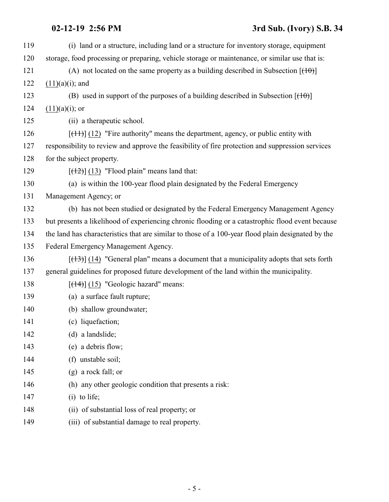| 119 | (i) land or a structure, including land or a structure for inventory storage, equipment            |
|-----|----------------------------------------------------------------------------------------------------|
| 120 | storage, food processing or preparing, vehicle storage or maintenance, or similar use that is:     |
| 121 | (A) not located on the same property as a building described in Subsection $[$ ( $\uparrow$ 0) $]$ |
| 122 | $(11)(a)(i)$ ; and                                                                                 |
| 123 | (B) used in support of the purposes of a building described in Subsection $[$ ( $\uparrow$ 0) $]$  |
| 124 | $(11)(a)(i)$ ; or                                                                                  |
| 125 | (ii) a therapeutic school.                                                                         |
| 126 | $[\frac{(11)}{(12)}]$ "Fire authority" means the department, agency, or public entity with         |
| 127 | responsibility to review and approve the feasibility of fire protection and suppression services   |
| 128 | for the subject property.                                                                          |
| 129 | $[$ ( $(12)$ ) $(13)$ "Flood plain" means land that:                                               |
| 130 | (a) is within the 100-year flood plain designated by the Federal Emergency                         |
| 131 | Management Agency; or                                                                              |
| 132 | (b) has not been studied or designated by the Federal Emergency Management Agency                  |
| 133 | but presents a likelihood of experiencing chronic flooding or a catastrophic flood event because   |
| 134 | the land has characteristics that are similar to those of a 100-year flood plain designated by the |
| 135 | Federal Emergency Management Agency.                                                               |
| 136 | $[ (13) ]$ (14) "General plan" means a document that a municipality adopts that sets forth         |
| 137 | general guidelines for proposed future development of the land within the municipality.            |
| 138 | $[$ (14+)] (15) "Geologic hazard" means:                                                           |
| 139 | (a) a surface fault rupture;                                                                       |
| 140 | (b) shallow groundwater;                                                                           |
| 141 | (c) liquefaction;                                                                                  |
| 142 | (d) a landslide;                                                                                   |
| 143 | (e) a debris flow;                                                                                 |
| 144 | (f) unstable soil;                                                                                 |
| 145 | $(g)$ a rock fall; or                                                                              |
| 146 | (h) any other geologic condition that presents a risk:                                             |
| 147 | $(i)$ to life;                                                                                     |
| 148 | (ii) of substantial loss of real property; or                                                      |
| 149 | (iii) of substantial damage to real property.                                                      |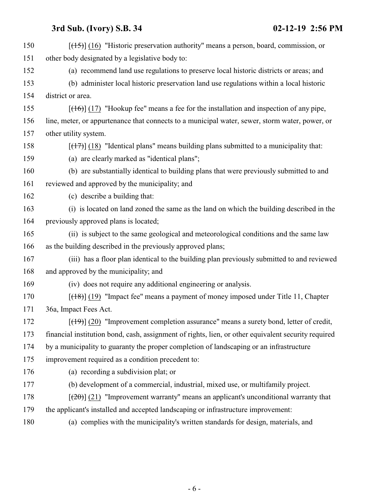| 150 | $[ (15) ]$ (16) "Historic preservation authority" means a person, board, commission, or             |
|-----|-----------------------------------------------------------------------------------------------------|
| 151 | other body designated by a legislative body to:                                                     |
| 152 | (a) recommend land use regulations to preserve local historic districts or areas; and               |
| 153 | (b) administer local historic preservation land use regulations within a local historic             |
| 154 | district or area.                                                                                   |
| 155 | $[ (16) ] (17)$ "Hookup fee" means a fee for the installation and inspection of any pipe,           |
| 156 | line, meter, or appurtenance that connects to a municipal water, sewer, storm water, power, or      |
| 157 | other utility system.                                                                               |
| 158 | $[ (17) ] (18)$ "Identical plans" means building plans submitted to a municipality that:            |
| 159 | (a) are clearly marked as "identical plans";                                                        |
| 160 | (b) are substantially identical to building plans that were previously submitted to and             |
| 161 | reviewed and approved by the municipality; and                                                      |
| 162 | (c) describe a building that:                                                                       |
| 163 | (i) is located on land zoned the same as the land on which the building described in the            |
| 164 | previously approved plans is located;                                                               |
| 165 | (ii) is subject to the same geological and meteorological conditions and the same law               |
| 166 | as the building described in the previously approved plans;                                         |
| 167 | (iii) has a floor plan identical to the building plan previously submitted to and reviewed          |
| 168 | and approved by the municipality; and                                                               |
| 169 | (iv) does not require any additional engineering or analysis.                                       |
| 170 | $[$ (18)] (19) "Impact fee" means a payment of money imposed under Title 11, Chapter                |
| 171 | 36a, Impact Fees Act.                                                                               |
| 172 | $[$ (49)] (20) "Improvement completion assurance" means a surety bond, letter of credit,            |
| 173 | financial institution bond, cash, assignment of rights, lien, or other equivalent security required |
| 174 | by a municipality to guaranty the proper completion of landscaping or an infrastructure             |
| 175 | improvement required as a condition precedent to:                                                   |
| 176 | (a) recording a subdivision plat; or                                                                |
| 177 | (b) development of a commercial, industrial, mixed use, or multifamily project.                     |
| 178 | $[\frac{1}{20}]$ (21) "Improvement warranty" means an applicant's unconditional warranty that       |
| 179 | the applicant's installed and accepted landscaping or infrastructure improvement:                   |
| 180 | (a) complies with the municipality's written standards for design, materials, and                   |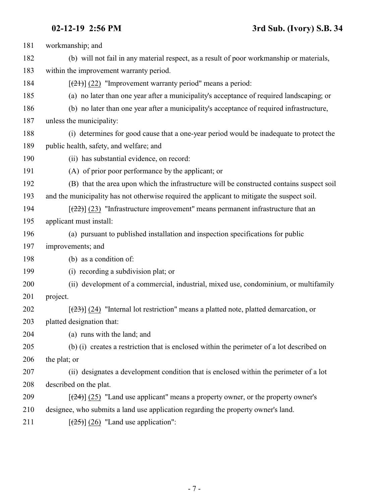| 181 | workmanship; and                                                                                     |
|-----|------------------------------------------------------------------------------------------------------|
| 182 | (b) will not fail in any material respect, as a result of poor workmanship or materials,             |
| 183 | within the improvement warranty period.                                                              |
| 184 | $[\frac{21}{2}]$ (22) "Improvement warranty period" means a period:                                  |
| 185 | (a) no later than one year after a municipality's acceptance of required landscaping; or             |
| 186 | (b) no later than one year after a municipality's acceptance of required infrastructure,             |
| 187 | unless the municipality:                                                                             |
| 188 | (i) determines for good cause that a one-year period would be inadequate to protect the              |
| 189 | public health, safety, and welfare; and                                                              |
| 190 | (ii) has substantial evidence, on record:                                                            |
| 191 | (A) of prior poor performance by the applicant; or                                                   |
| 192 | (B) that the area upon which the infrastructure will be constructed contains suspect soil            |
| 193 | and the municipality has not otherwise required the applicant to mitigate the suspect soil.          |
| 194 | $\left[\frac{(22)}{(23)}\right]$ "Infrastructure improvement" means permanent infrastructure that an |
| 195 | applicant must install:                                                                              |
| 196 | (a) pursuant to published installation and inspection specifications for public                      |
| 197 | improvements; and                                                                                    |
| 198 | (b) as a condition of:                                                                               |
| 199 | (i) recording a subdivision plat; or                                                                 |
| 200 | (ii) development of a commercial, industrial, mixed use, condominium, or multifamily                 |
| 201 | project.                                                                                             |
| 202 | $[23]$ (24) "Internal lot restriction" means a platted note, platted demarcation, or                 |
| 203 | platted designation that:                                                                            |
| 204 | (a) runs with the land; and                                                                          |
| 205 | (b) (i) creates a restriction that is enclosed within the perimeter of a lot described on            |
| 206 | the plat; or                                                                                         |
| 207 | (ii) designates a development condition that is enclosed within the perimeter of a lot               |
| 208 | described on the plat.                                                                               |
| 209 | $[\frac{(24)}{(25)}]$ "Land use applicant" means a property owner, or the property owner's           |
| 210 | designee, who submits a land use application regarding the property owner's land.                    |
| 211 | $[\frac{(25)}{(26)}]$ "Land use application":                                                        |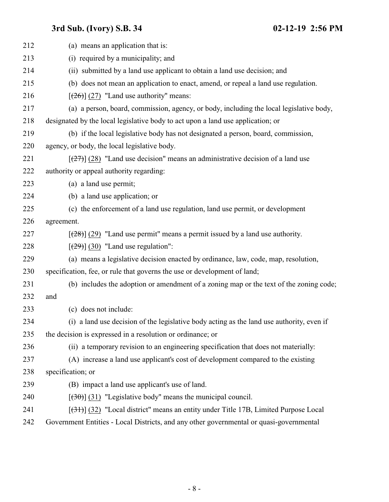| 212 | (a) means an application that is:                                                         |
|-----|-------------------------------------------------------------------------------------------|
| 213 | (i) required by a municipality; and                                                       |
| 214 | (ii) submitted by a land use applicant to obtain a land use decision; and                 |
| 215 | (b) does not mean an application to enact, amend, or repeal a land use regulation.        |
| 216 | $[26]$ (27) "Land use authority" means:                                                   |
| 217 | (a) a person, board, commission, agency, or body, including the local legislative body,   |
| 218 | designated by the local legislative body to act upon a land use application; or           |
| 219 | (b) if the local legislative body has not designated a person, board, commission,         |
| 220 | agency, or body, the local legislative body.                                              |
| 221 | $[27]$ (28) "Land use decision" means an administrative decision of a land use            |
| 222 | authority or appeal authority regarding:                                                  |
| 223 | (a) a land use permit;                                                                    |
| 224 | (b) a land use application; or                                                            |
| 225 | (c) the enforcement of a land use regulation, land use permit, or development             |
| 226 | agreement.                                                                                |
| 227 | $[\frac{(28)}{(29)}]$ "Land use permit" means a permit issued by a land use authority.    |
| 228 | $\left[\frac{(29)}{(29)}\right]$ (30) "Land use regulation":                              |
| 229 | (a) means a legislative decision enacted by ordinance, law, code, map, resolution,        |
| 230 | specification, fee, or rule that governs the use or development of land;                  |
| 231 | (b) includes the adoption or amendment of a zoning map or the text of the zoning code;    |
| 232 | and                                                                                       |
| 233 | (c) does not include:                                                                     |
| 234 | (i) a land use decision of the legislative body acting as the land use authority, even if |
| 235 | the decision is expressed in a resolution or ordinance; or                                |
| 236 | (ii) a temporary revision to an engineering specification that does not materially:       |
| 237 | (A) increase a land use applicant's cost of development compared to the existing          |
| 238 | specification; or                                                                         |
| 239 | (B) impact a land use applicant's use of land.                                            |
| 240 | $[30(31)$ "Legislative body" means the municipal council.                                 |
| 241 | $[31]$ (32) "Local district" means an entity under Title 17B, Limited Purpose Local       |
| 242 | Government Entities - Local Districts, and any other governmental or quasi-governmental   |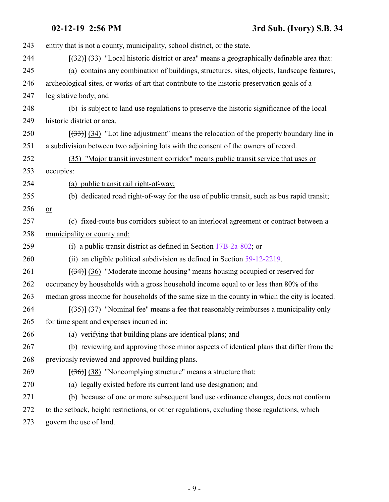| 243 | entity that is not a county, municipality, school district, or the state.                       |
|-----|-------------------------------------------------------------------------------------------------|
| 244 | $[32]$ (33) "Local historic district or area" means a geographically definable area that:       |
| 245 | (a) contains any combination of buildings, structures, sites, objects, landscape features,      |
| 246 | archeological sites, or works of art that contribute to the historic preservation goals of a    |
| 247 | legislative body; and                                                                           |
| 248 | (b) is subject to land use regulations to preserve the historic significance of the local       |
| 249 | historic district or area.                                                                      |
| 250 | $[333]$ (34) "Lot line adjustment" means the relocation of the property boundary line in        |
| 251 | a subdivision between two adjoining lots with the consent of the owners of record.              |
| 252 | (35) "Major transit investment corridor" means public transit service that uses or              |
| 253 | occupies:                                                                                       |
| 254 | (a) public transit rail right-of-way;                                                           |
| 255 | (b) dedicated road right-of-way for the use of public transit, such as bus rapid transit;       |
| 256 | or                                                                                              |
| 257 | (c) fixed-route bus corridors subject to an interlocal agreement or contract between a          |
| 258 | municipality or county and:                                                                     |
| 259 | (i) a public transit district as defined in Section $17B-2a-802$ ; or                           |
| 260 | (ii) an eligible political subdivision as defined in Section $59-12-2219$ .                     |
| 261 | $[34]$ (36) "Moderate income housing" means housing occupied or reserved for                    |
| 262 | occupancy by households with a gross household income equal to or less than 80% of the          |
| 263 | median gross income for households of the same size in the county in which the city is located. |
| 264 | $[35]$ (37) "Nominal fee" means a fee that reasonably reimburses a municipality only            |
| 265 | for time spent and expenses incurred in:                                                        |
| 266 | (a) verifying that building plans are identical plans; and                                      |
| 267 | (b) reviewing and approving those minor aspects of identical plans that differ from the         |
| 268 | previously reviewed and approved building plans.                                                |
| 269 | $[36]$ (38) "Noncomplying structure" means a structure that:                                    |
| 270 | (a) legally existed before its current land use designation; and                                |
| 271 | (b) because of one or more subsequent land use ordinance changes, does not conform              |
| 272 | to the setback, height restrictions, or other regulations, excluding those regulations, which   |
| 273 | govern the use of land.                                                                         |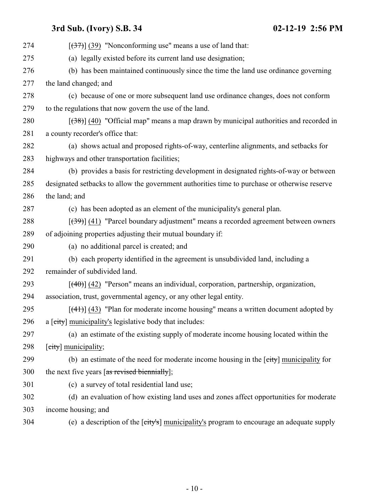| 274 | $[37]$ (39) "Nonconforming use" means a use of land that:                                       |
|-----|-------------------------------------------------------------------------------------------------|
| 275 | (a) legally existed before its current land use designation;                                    |
| 276 | (b) has been maintained continuously since the time the land use ordinance governing            |
| 277 | the land changed; and                                                                           |
| 278 | (c) because of one or more subsequent land use ordinance changes, does not conform              |
| 279 | to the regulations that now govern the use of the land.                                         |
| 280 | $[38]$ (40) "Official map" means a map drawn by municipal authorities and recorded in           |
| 281 | a county recorder's office that:                                                                |
| 282 | (a) shows actual and proposed rights-of-way, centerline alignments, and setbacks for            |
| 283 | highways and other transportation facilities;                                                   |
| 284 | (b) provides a basis for restricting development in designated rights-of-way or between         |
| 285 | designated setbacks to allow the government authorities time to purchase or otherwise reserve   |
| 286 | the land; and                                                                                   |
| 287 | (c) has been adopted as an element of the municipality's general plan.                          |
| 288 | $[39]$ (41) "Parcel boundary adjustment" means a recorded agreement between owners              |
| 289 | of adjoining properties adjusting their mutual boundary if:                                     |
| 290 | (a) no additional parcel is created; and                                                        |
| 291 | (b) each property identified in the agreement is unsubdivided land, including a                 |
| 292 | remainder of subdivided land.                                                                   |
| 293 | $[$ (40)] (42) "Person" means an individual, corporation, partnership, organization,            |
| 294 | association, trust, governmental agency, or any other legal entity.                             |
| 295 | $[\frac{(41)}{(43)}]$ "Plan for moderate income housing" means a written document adopted by    |
| 296 | a [city] municipality's legislative body that includes:                                         |
| 297 | (a) an estimate of the existing supply of moderate income housing located within the            |
| 298 | [city] municipality;                                                                            |
| 299 | (b) an estimate of the need for moderate income housing in the $[\text{city}]$ municipality for |
| 300 | the next five years [as revised biennially];                                                    |
| 301 | (c) a survey of total residential land use;                                                     |
| 302 | (d) an evaluation of how existing land uses and zones affect opportunities for moderate         |
| 303 | income housing; and                                                                             |
| 304 | (e) a description of the [city's] municipality's program to encourage an adequate supply        |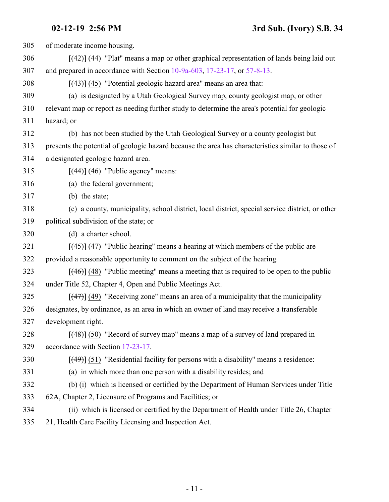of moderate income housing. [(42)] (44) "Plat" means a map or other graphical representation of lands being laid out and prepared in accordance with Section [10-9a-603](http://le.utah.gov/UtahCode/SectionLookup.jsp?section=10-9a-603&session=2019GS), [17-23-17](http://le.utah.gov/UtahCode/SectionLookup.jsp?section=17-23-17&session=2019GS), or [57-8-13](http://le.utah.gov/UtahCode/SectionLookup.jsp?section=57-8-13&session=2019GS). [(43)] (45) "Potential geologic hazard area" means an area that: (a) is designated by a Utah Geological Survey map, county geologist map, or other relevant map or report as needing further study to determine the area's potential for geologic hazard; or (b) has not been studied by the Utah Geological Survey or a county geologist but presents the potential of geologic hazard because the area has characteristics similar to those of a designated geologic hazard area. [ $(44)$ ] (46) "Public agency" means: (a) the federal government; (b) the state; (c) a county, municipality, school district, local district, special service district, or other political subdivision of the state; or (d) a charter school.  $[45]$  (47) "Public hearing" means a hearing at which members of the public are provided a reasonable opportunity to comment on the subject of the hearing.  $[46]$  (48) "Public meeting" means a meeting that is required to be open to the public under Title 52, Chapter 4, Open and Public Meetings Act. [ $(47)$ ] (49) "Receiving zone" means an area of a municipality that the municipality designates, by ordinance, as an area in which an owner of land may receive a transferable development right. 328 [(48)] (50) "Record of survey map" means a map of a survey of land prepared in accordance with Section [17-23-17](http://le.utah.gov/UtahCode/SectionLookup.jsp?section=17-23-17&session=2019GS). [(49)] (51) "Residential facility for persons with a disability" means a residence: (a) in which more than one person with a disability resides; and (b) (i) which is licensed or certified by the Department of Human Services under Title 62A, Chapter 2, Licensure of Programs and Facilities; or (ii) which is licensed or certified by the Department of Health under Title 26, Chapter 21, Health Care Facility Licensing and Inspection Act.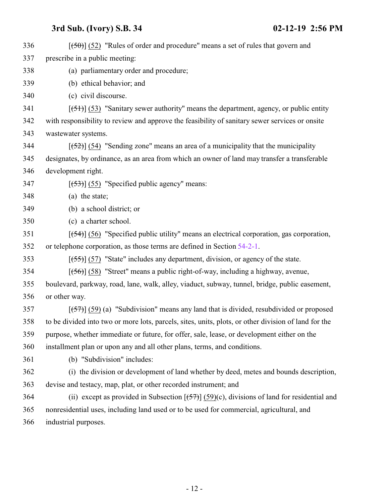$[50]$   $[52]$  "Rules of order and procedure" means a set of rules that govern and prescribe in a public meeting: (a) parliamentary order and procedure; (b) ethical behavior; and (c) civil discourse.  $[341]$  [(51)] (53) "Sanitary sewer authority" means the department, agency, or public entity with responsibility to review and approve the feasibility of sanitary sewer services or onsite wastewater systems.  $[52]$  (54) "Sending zone" means an area of a municipality that the municipality designates, by ordinance, as an area from which an owner of land may transfer a transferable development right. [ $(53)$ ] (55) "Specified public agency" means: (a) the state; (b) a school district; or (c) a charter school. [(54)] (56) "Specified public utility" means an electrical corporation, gas corporation, or telephone corporation, as those terms are defined in Section [54-2-1](http://le.utah.gov/UtahCode/SectionLookup.jsp?section=54-2-1&session=2019GS). [(55)] (57) "State" includes any department, division, or agency of the state. [(56)] (58) "Street" means a public right-of-way, including a highway, avenue, boulevard, parkway, road, lane, walk, alley, viaduct, subway, tunnel, bridge, public easement, or other way.  $[57]$  [(57)] (59) (a) "Subdivision" means any land that is divided, resubdivided or proposed to be divided into two or more lots, parcels, sites, units, plots, or other division of land for the purpose, whether immediate or future, for offer, sale, lease, or development either on the installment plan or upon any and all other plans, terms, and conditions. (b) "Subdivision" includes: (i) the division or development of land whether by deed, metes and bounds description, devise and testacy, map, plat, or other recorded instrument; and 364 (ii) except as provided in Subsection  $[(57)]$  (59)(c), divisions of land for residential and nonresidential uses, including land used or to be used for commercial, agricultural, and industrial purposes.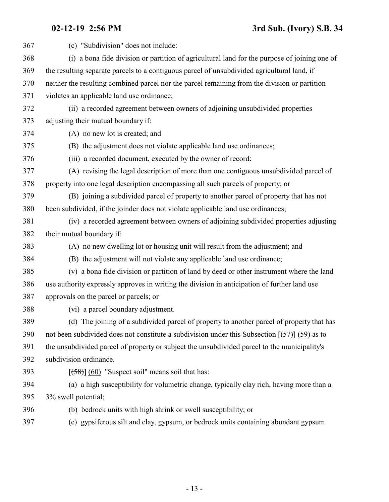| 367 | (c) "Subdivision" does not include:                                                             |
|-----|-------------------------------------------------------------------------------------------------|
| 368 | (i) a bona fide division or partition of agricultural land for the purpose of joining one of    |
| 369 | the resulting separate parcels to a contiguous parcel of unsubdivided agricultural land, if     |
| 370 | neither the resulting combined parcel nor the parcel remaining from the division or partition   |
| 371 | violates an applicable land use ordinance;                                                      |
| 372 | (ii) a recorded agreement between owners of adjoining unsubdivided properties                   |
| 373 | adjusting their mutual boundary if:                                                             |
| 374 | (A) no new lot is created; and                                                                  |
| 375 | (B) the adjustment does not violate applicable land use ordinances;                             |
| 376 | (iii) a recorded document, executed by the owner of record:                                     |
| 377 | (A) revising the legal description of more than one contiguous unsubdivided parcel of           |
| 378 | property into one legal description encompassing all such parcels of property; or               |
| 379 | (B) joining a subdivided parcel of property to another parcel of property that has not          |
| 380 | been subdivided, if the joinder does not violate applicable land use ordinances;                |
| 381 | (iv) a recorded agreement between owners of adjoining subdivided properties adjusting           |
| 382 | their mutual boundary if:                                                                       |
| 383 | (A) no new dwelling lot or housing unit will result from the adjustment; and                    |
| 384 | (B) the adjustment will not violate any applicable land use ordinance;                          |
| 385 | (v) a bona fide division or partition of land by deed or other instrument where the land        |
| 386 | use authority expressly approves in writing the division in anticipation of further land use    |
| 387 | approvals on the parcel or parcels; or                                                          |
| 388 | (vi) a parcel boundary adjustment.                                                              |
| 389 | (d) The joining of a subdivided parcel of property to another parcel of property that has       |
| 390 | not been subdivided does not constitute a subdivision under this Subsection $[(57)]$ (59) as to |
| 391 | the unsubdivided parcel of property or subject the unsubdivided parcel to the municipality's    |
| 392 | subdivision ordinance.                                                                          |
| 393 | $[58]$ (60) "Suspect soil" means soil that has:                                                 |
| 394 | (a) a high susceptibility for volumetric change, typically clay rich, having more than a        |
| 395 | 3% swell potential;                                                                             |
| 396 | (b) bedrock units with high shrink or swell susceptibility; or                                  |
| 397 | (c) gypsiferous silt and clay, gypsum, or bedrock units containing abundant gypsum              |
|     |                                                                                                 |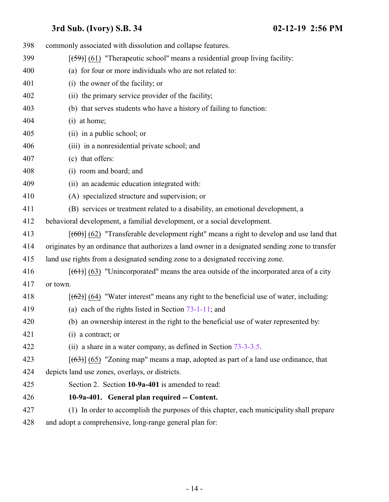<span id="page-13-0"></span>

| 398 | commonly associated with dissolution and collapse features.                                      |
|-----|--------------------------------------------------------------------------------------------------|
| 399 | $[59]$ (61) "Therapeutic school" means a residential group living facility:                      |
| 400 | (a) for four or more individuals who are not related to:                                         |
| 401 | (i) the owner of the facility; or                                                                |
| 402 | (ii) the primary service provider of the facility;                                               |
| 403 | (b) that serves students who have a history of failing to function:                              |
| 404 | (i) at home;                                                                                     |
| 405 | (ii) in a public school; or                                                                      |
| 406 | (iii) in a nonresidential private school; and                                                    |
| 407 | (c) that offers:                                                                                 |
| 408 | (i) room and board; and                                                                          |
| 409 | (ii) an academic education integrated with:                                                      |
| 410 | (A) specialized structure and supervision; or                                                    |
| 411 | (B) services or treatment related to a disability, an emotional development, a                   |
| 412 | behavioral development, a familial development, or a social development.                         |
| 413 | $[$ (60)] (62) "Transferable development right" means a right to develop and use land that       |
| 414 | originates by an ordinance that authorizes a land owner in a designated sending zone to transfer |
| 415 | land use rights from a designated sending zone to a designated receiving zone.                   |
| 416 | $[(61)]$ (63) "Unincorporated" means the area outside of the incorporated area of a city         |
| 417 | or town.                                                                                         |
| 418 | $[62]$ (64) "Water interest" means any right to the beneficial use of water, including:          |
| 419 | (a) each of the rights listed in Section $73-1-11$ ; and                                         |
| 420 | (b) an ownership interest in the right to the beneficial use of water represented by:            |
| 421 | $(i)$ a contract; or                                                                             |
| 422 | (ii) a share in a water company, as defined in Section $73-3-3.5$ .                              |
| 423 | $[ (63) ] (65)$ "Zoning map" means a map, adopted as part of a land use ordinance, that          |
| 424 | depicts land use zones, overlays, or districts.                                                  |
| 425 | Section 2. Section 10-9a-401 is amended to read:                                                 |
| 426 | 10-9a-401. General plan required -- Content.                                                     |
| 427 | (1) In order to accomplish the purposes of this chapter, each municipality shall prepare         |
| 428 | and adopt a comprehensive, long-range general plan for:                                          |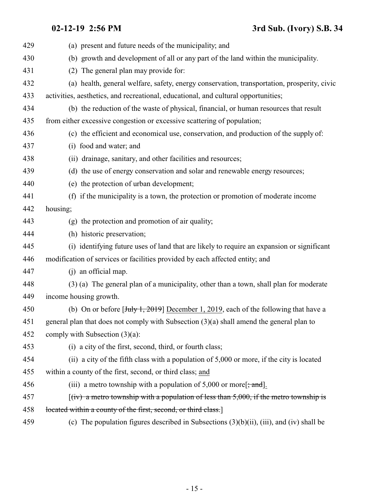| 429 | (a) present and future needs of the municipality; and                                                         |
|-----|---------------------------------------------------------------------------------------------------------------|
| 430 | (b) growth and development of all or any part of the land within the municipality.                            |
| 431 | (2) The general plan may provide for:                                                                         |
| 432 | (a) health, general welfare, safety, energy conservation, transportation, prosperity, civic                   |
| 433 | activities, aesthetics, and recreational, educational, and cultural opportunities;                            |
| 434 | (b) the reduction of the waste of physical, financial, or human resources that result                         |
| 435 | from either excessive congestion or excessive scattering of population;                                       |
| 436 | (c) the efficient and economical use, conservation, and production of the supply of:                          |
| 437 | (i) food and water; and                                                                                       |
| 438 | (ii) drainage, sanitary, and other facilities and resources;                                                  |
| 439 | (d) the use of energy conservation and solar and renewable energy resources;                                  |
| 440 | (e) the protection of urban development;                                                                      |
| 441 | (f) if the municipality is a town, the protection or promotion of moderate income                             |
| 442 | housing;                                                                                                      |
| 443 | (g) the protection and promotion of air quality;                                                              |
| 444 | (h) historic preservation;                                                                                    |
| 445 | (i) identifying future uses of land that are likely to require an expansion or significant                    |
| 446 | modification of services or facilities provided by each affected entity; and                                  |
| 447 | (j) an official map.                                                                                          |
| 448 | (3) (a) The general plan of a municipality, other than a town, shall plan for moderate                        |
| 449 | income housing growth.                                                                                        |
| 450 | (b) On or before $[\frac{\text{July } 1, 2019}{1, 2019}]$ December 1, 2019, each of the following that have a |
| 451 | general plan that does not comply with Subsection $(3)(a)$ shall amend the general plan to                    |
| 452 | comply with Subsection $(3)(a)$ :                                                                             |
| 453 | (i) a city of the first, second, third, or fourth class;                                                      |
| 454 | (ii) a city of the fifth class with a population of 5,000 or more, if the city is located                     |
| 455 | within a county of the first, second, or third class; and                                                     |
| 456 | (iii) a metro township with a population of 5,000 or more $\frac{1}{2}$ , and $\frac{1}{2}$ .                 |
| 457 | $f(iv)$ a metro township with a population of less than 5,000, if the metro township is                       |
| 458 | located within a county of the first, second, or third class.                                                 |
| 459 | (c) The population figures described in Subsections $(3)(b)(ii)$ , $(iii)$ , and $(iv)$ shall be              |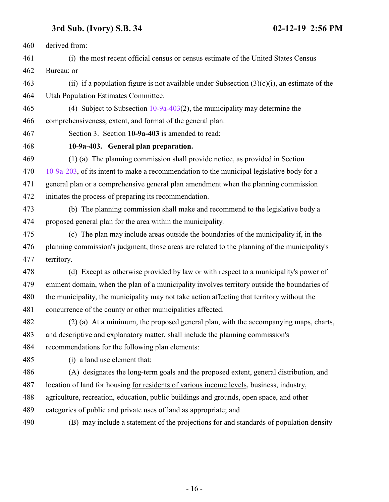derived from:

 (i) the most recent official census or census estimate of the United States Census Bureau; or

463 (ii) if a population figure is not available under Subsection  $(3)(c)(i)$ , an estimate of the Utah Population Estimates Committee.

 (4) Subject to Subsection [10-9a-403](#page-15-0)(2), the municipality may determine the comprehensiveness, extent, and format of the general plan.

<span id="page-15-0"></span>

Section 3. Section **10-9a-403** is amended to read:

**10-9a-403. General plan preparation.**

(1) (a) The planning commission shall provide notice, as provided in Section

 [10-9a-203](http://le.utah.gov/UtahCode/SectionLookup.jsp?section=10-9a-203&session=2019GS), of its intent to make a recommendation to the municipal legislative body for a general plan or a comprehensive general plan amendment when the planning commission

initiates the process of preparing its recommendation.

 (b) The planning commission shall make and recommend to the legislative body a proposed general plan for the area within the municipality.

 (c) The plan may include areas outside the boundaries of the municipality if, in the planning commission's judgment, those areas are related to the planning of the municipality's territory.

 (d) Except as otherwise provided by law or with respect to a municipality's power of eminent domain, when the plan of a municipality involves territory outside the boundaries of the municipality, the municipality may not take action affecting that territory without the concurrence of the county or other municipalities affected.

 (2) (a) At a minimum, the proposed general plan, with the accompanying maps, charts, and descriptive and explanatory matter, shall include the planning commission's recommendations for the following plan elements:

(i) a land use element that:

 (A) designates the long-term goals and the proposed extent, general distribution, and location of land for housing for residents of various income levels, business, industry,

agriculture, recreation, education, public buildings and grounds, open space, and other

categories of public and private uses of land as appropriate; and

(B) may include a statement of the projections for and standards of population density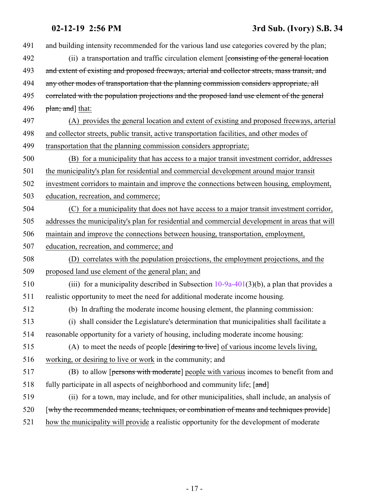| 491 | and building intensity recommended for the various land use categories covered by the plan;     |
|-----|-------------------------------------------------------------------------------------------------|
| 492 | (ii) a transportation and traffic circulation element [consisting of the general location       |
| 493 | and extent of existing and proposed freeways, arterial and collector streets, mass transit, and |
| 494 | any other modes of transportation that the planning commission considers appropriate, all       |
| 495 | correlated with the population projections and the proposed land use element of the general     |
| 496 | plan; and that:                                                                                 |
| 497 | (A) provides the general location and extent of existing and proposed freeways, arterial        |
| 498 | and collector streets, public transit, active transportation facilities, and other modes of     |
| 499 | transportation that the planning commission considers appropriate;                              |
| 500 | (B) for a municipality that has access to a major transit investment corridor, addresses        |
| 501 | the municipality's plan for residential and commercial development around major transit         |
| 502 | investment corridors to maintain and improve the connections between housing, employment,       |
| 503 | education, recreation, and commerce;                                                            |
| 504 | (C) for a municipality that does not have access to a major transit investment corridor,        |
| 505 | addresses the municipality's plan for residential and commercial development in areas that will |
| 506 | maintain and improve the connections between housing, transportation, employment,               |
| 507 | education, recreation, and commerce; and                                                        |
| 508 | (D) correlates with the population projections, the employment projections, and the             |
| 509 | proposed land use element of the general plan; and                                              |
| 510 | (iii) for a municipality described in Subsection $10-9a-401(3)(b)$ , a plan that provides a     |
| 511 | realistic opportunity to meet the need for additional moderate income housing.                  |
| 512 | (b) In drafting the moderate income housing element, the planning commission:                   |
| 513 | (i) shall consider the Legislature's determination that municipalities shall facilitate a       |
| 514 | reasonable opportunity for a variety of housing, including moderate income housing:             |
| 515 | (A) to meet the needs of people [desiring to live] of various income levels living,             |
| 516 | working, or desiring to live or work in the community; and                                      |
| 517 | (B) to allow [persons with moderate] people with various incomes to benefit from and            |
| 518 | fully participate in all aspects of neighborhood and community life; [and]                      |
| 519 | (ii) for a town, may include, and for other municipalities, shall include, an analysis of       |
| 520 | [why the recommended means, techniques, or combination of means and techniques provide]         |
| 521 | how the municipality will provide a realistic opportunity for the development of moderate       |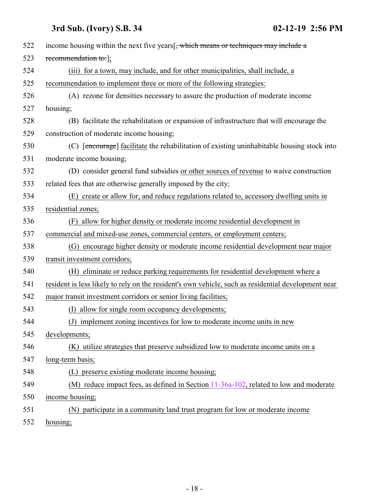| 522 | income housing within the next five years[, which means or techniques may include a                 |
|-----|-----------------------------------------------------------------------------------------------------|
| 523 | recommendation to: ];                                                                               |
| 524 | (iii) for a town, may include, and for other municipalities, shall include, a                       |
| 525 | recommendation to implement three or more of the following strategies:                              |
| 526 | (A) rezone for densities necessary to assure the production of moderate income                      |
| 527 | housing;                                                                                            |
| 528 | (B) facilitate the rehabilitation or expansion of infrastructure that will encourage the            |
| 529 | construction of moderate income housing;                                                            |
| 530 | (C) [encourage] facilitate the rehabilitation of existing uninhabitable housing stock into          |
| 531 | moderate income housing;                                                                            |
| 532 | (D) consider general fund subsidies or other sources of revenue to waive construction               |
| 533 | related fees that are otherwise generally imposed by the city;                                      |
| 534 | (E) create or allow for, and reduce regulations related to, accessory dwelling units in             |
| 535 | residential zones;                                                                                  |
| 536 | (F) allow for higher density or moderate income residential development in                          |
| 537 | commercial and mixed-use zones, commercial centers, or employment centers;                          |
| 538 | (G) encourage higher density or moderate income residential development near major                  |
| 539 | transit investment corridors;                                                                       |
| 540 | (H) eliminate or reduce parking requirements for residential development where a                    |
| 541 | resident is less likely to rely on the resident's own vehicle, such as residential development near |
| 542 | major transit investment corridors or senior living facilities;                                     |
| 543 | allow for single room occupancy developments;<br>(I)                                                |
| 544 | (J) implement zoning incentives for low to moderate income units in new                             |
| 545 | developments;                                                                                       |
| 546 | (K) utilize strategies that preserve subsidized low to moderate income units on a                   |
| 547 | long-term basis;                                                                                    |
| 548 | (L) preserve existing moderate income housing;                                                      |
| 549 | (M) reduce impact fees, as defined in Section $11-36a-102$ , related to low and moderate            |
| 550 | income housing;                                                                                     |
| 551 | (N) participate in a community land trust program for low or moderate income                        |
| 552 | housing;                                                                                            |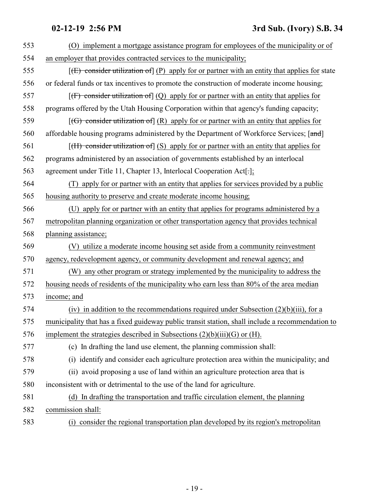| 553 | (O) implement a mortgage assistance program for employees of the municipality or of                          |
|-----|--------------------------------------------------------------------------------------------------------------|
| 554 | an employer that provides contracted services to the municipality;                                           |
| 555 | $[\text{E})$ consider utilization of $[\text{P})$ apply for or partner with an entity that applies for state |
| 556 | or federal funds or tax incentives to promote the construction of moderate income housing;                   |
| 557 | $[f]$ consider utilization of $(Q)$ apply for or partner with an entity that applies for                     |
| 558 | programs offered by the Utah Housing Corporation within that agency's funding capacity;                      |
| 559 | $[(G)$ consider utilization of $(R)$ apply for or partner with an entity that applies for                    |
| 560 | affordable housing programs administered by the Department of Workforce Services; [and]                      |
| 561 | $[f(H)$ consider utilization of $(S)$ apply for or partner with an entity that applies for                   |
| 562 | programs administered by an association of governments established by an interlocal                          |
| 563 | agreement under Title 11, Chapter 13, Interlocal Cooperation Act[-];                                         |
| 564 | (T) apply for or partner with an entity that applies for services provided by a public                       |
| 565 | housing authority to preserve and create moderate income housing;                                            |
| 566 | (U) apply for or partner with an entity that applies for programs administered by a                          |
| 567 | metropolitan planning organization or other transportation agency that provides technical                    |
| 568 | planning assistance;                                                                                         |
| 569 | (V) utilize a moderate income housing set aside from a community reinvestment                                |
| 570 | agency, redevelopment agency, or community development and renewal agency; and                               |
| 571 | (W) any other program or strategy implemented by the municipality to address the                             |
| 572 | housing needs of residents of the municipality who earn less than 80% of the area median                     |
| 573 | income; and                                                                                                  |
| 574 | (iv) in addition to the recommendations required under Subsection $(2)(b)(iii)$ , for a                      |
| 575 | municipality that has a fixed guideway public transit station, shall include a recommendation to             |
| 576 | implement the strategies described in Subsections $(2)(b)(iii)(G)$ or $(H)$ .                                |
| 577 | (c) In drafting the land use element, the planning commission shall:                                         |
| 578 | (i) identify and consider each agriculture protection area within the municipality; and                      |
| 579 | (ii) avoid proposing a use of land within an agriculture protection area that is                             |
| 580 | inconsistent with or detrimental to the use of the land for agriculture.                                     |
| 581 | (d) In drafting the transportation and traffic circulation element, the planning                             |
| 582 | commission shall:                                                                                            |
| 583 | (i) consider the regional transportation plan developed by its region's metropolitan                         |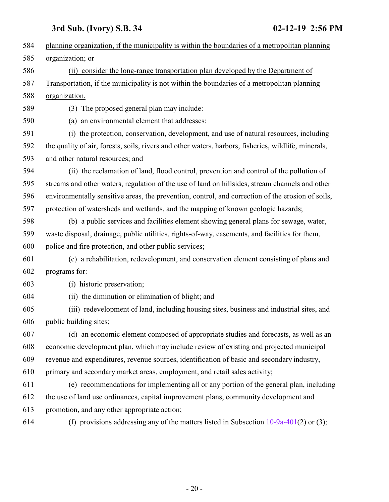| 584 | planning organization, if the municipality is within the boundaries of a metropolitan planning       |
|-----|------------------------------------------------------------------------------------------------------|
| 585 | organization; or                                                                                     |
| 586 | (ii) consider the long-range transportation plan developed by the Department of                      |
| 587 | Transportation, if the municipality is not within the boundaries of a metropolitan planning          |
| 588 | organization.                                                                                        |
| 589 | (3) The proposed general plan may include:                                                           |
| 590 | (a) an environmental element that addresses:                                                         |
| 591 | (i) the protection, conservation, development, and use of natural resources, including               |
| 592 | the quality of air, forests, soils, rivers and other waters, harbors, fisheries, wildlife, minerals, |
| 593 | and other natural resources; and                                                                     |
| 594 | (ii) the reclamation of land, flood control, prevention and control of the pollution of              |
| 595 | streams and other waters, regulation of the use of land on hillsides, stream channels and other      |
| 596 | environmentally sensitive areas, the prevention, control, and correction of the erosion of soils,    |
| 597 | protection of watersheds and wetlands, and the mapping of known geologic hazards;                    |
| 598 | (b) a public services and facilities element showing general plans for sewage, water,                |
| 599 | waste disposal, drainage, public utilities, rights-of-way, easements, and facilities for them,       |
| 600 | police and fire protection, and other public services;                                               |
| 601 | (c) a rehabilitation, redevelopment, and conservation element consisting of plans and                |
| 602 | programs for:                                                                                        |
| 603 | (i) historic preservation;                                                                           |
| 604 | (ii) the diminution or elimination of blight; and                                                    |
| 605 | (iii) redevelopment of land, including housing sites, business and industrial sites, and             |
| 606 | public building sites;                                                                               |
| 607 | (d) an economic element composed of appropriate studies and forecasts, as well as an                 |
| 608 | economic development plan, which may include review of existing and projected municipal              |
| 609 | revenue and expenditures, revenue sources, identification of basic and secondary industry,           |
| 610 | primary and secondary market areas, employment, and retail sales activity;                           |
| 611 | (e) recommendations for implementing all or any portion of the general plan, including               |
| 612 | the use of land use ordinances, capital improvement plans, community development and                 |
| 613 | promotion, and any other appropriate action;                                                         |
| 614 | (f) provisions addressing any of the matters listed in Subsection $10-9a-401(2)$ or (3);             |
|     |                                                                                                      |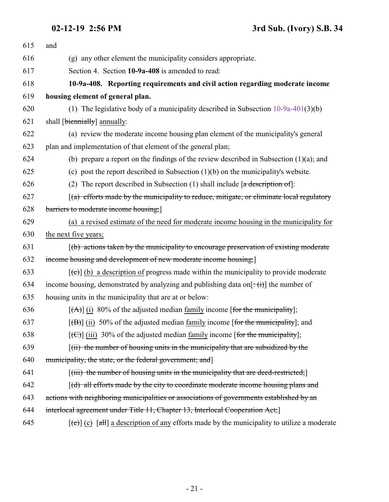<span id="page-20-0"></span>

| 615 | and                                                                                                                  |
|-----|----------------------------------------------------------------------------------------------------------------------|
| 616 | (g) any other element the municipality considers appropriate.                                                        |
| 617 | Section 4. Section 10-9a-408 is amended to read:                                                                     |
| 618 | 10-9a-408. Reporting requirements and civil action regarding moderate income                                         |
| 619 | housing element of general plan.                                                                                     |
| 620 | (1) The legislative body of a municipality described in Subsection $10-9a-401(3)(b)$                                 |
| 621 | shall [biennially] annually:                                                                                         |
| 622 | (a) review the moderate income housing plan element of the municipality's general                                    |
| 623 | plan and implementation of that element of the general plan;                                                         |
| 624 | (b) prepare a report on the findings of the review described in Subsection $(1)(a)$ ; and                            |
| 625 | (c) post the report described in Subsection $(1)(b)$ on the municipality's website.                                  |
| 626 | (2) The report described in Subsection (1) shall include $[a$ description of:                                        |
| 627 | $(a)$ efforts made by the municipality to reduce, mitigate, or eliminate local regulatory                            |
| 628 | barriers to moderate income housing;                                                                                 |
| 629 | (a) a revised estimate of the need for moderate income housing in the municipality for                               |
| 630 | the next five years;                                                                                                 |
| 631 | [(b) actions taken by the municipality to encourage preservation of existing moderate                                |
| 632 | income housing and development of new moderate income housing;                                                       |
| 633 | $[\text{e}(\epsilon)]$ (b) a description of progress made within the municipality to provide moderate                |
| 634 | income housing, demonstrated by analyzing and publishing data on $[\pm(\mathbf{i})]$ the number of                   |
| 635 | housing units in the municipality that are at or below:                                                              |
| 636 | $[\vec{A}]$ (i) 80% of the adjusted median family income [for the municipality];                                     |
| 637 | $[\text{H}\text{H}]$ (ii) 50% of the adjusted median family income [for the municipality]; and                       |
| 638 | $[\text{f}\Theta]$ (iii) 30% of the adjusted median family income [for the municipality];                            |
| 639 | $(iii)$ the number of housing units in the municipality that are subsidized by the                                   |
| 640 | municipality, the state, or the federal government; and]                                                             |
| 641 | $[(iii)$ the number of housing units in the municipality that are deed-restricted;                                   |
| 642 | [(d) all efforts made by the city to coordinate moderate income housing plans and                                    |
| 643 | actions with neighboring municipalities or associations of governments established by an                             |
| 644 | interlocal agreement under Title 11, Chapter 13, Interlocal Cooperation Act;                                         |
| 645 | $[\text{e}(\text{e})]$ (c) $[\text{a}H]$ a description of any efforts made by the municipality to utilize a moderate |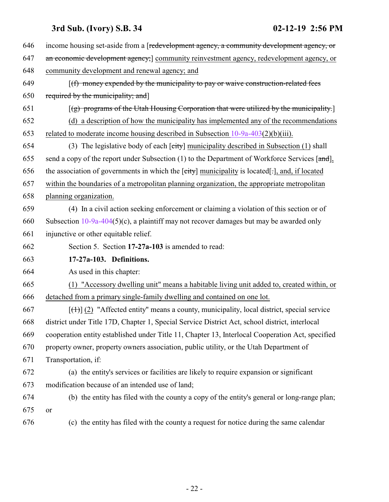<span id="page-21-0"></span>

| 646 | income housing set-aside from a [redevelopment agency, a community development agency, or        |
|-----|--------------------------------------------------------------------------------------------------|
| 647 | an economic development agency; community reinvestment agency, redevelopment agency, or          |
| 648 | community development and renewal agency; and                                                    |
| 649 | $(f)$ money expended by the municipality to pay or waive construction-related fees               |
| 650 | required by the municipality; and]                                                               |
| 651 | $[(g)$ programs of the Utah Housing Corporation that were utilized by the municipality.          |
| 652 | (d) a description of how the municipality has implemented any of the recommendations             |
| 653 | related to moderate income housing described in Subsection $10-9a-403(2)(b)(iii)$ .              |
| 654 | (3) The legislative body of each $\lceil$ city municipality described in Subsection (1) shall    |
| 655 | send a copy of the report under Subsection $(1)$ to the Department of Workforce Services [and],  |
| 656 | the association of governments in which the [city] municipality is located[.], and, if located   |
| 657 | within the boundaries of a metropolitan planning organization, the appropriate metropolitan      |
| 658 | planning organization.                                                                           |
| 659 | (4) In a civil action seeking enforcement or claiming a violation of this section or of          |
| 660 | Subsection $10-9a-404(5)(c)$ , a plaintiff may not recover damages but may be awarded only       |
| 661 | injunctive or other equitable relief.                                                            |
| 662 | Section 5. Section 17-27a-103 is amended to read:                                                |
| 663 | 17-27a-103. Definitions.                                                                         |
|     |                                                                                                  |
| 664 | As used in this chapter:                                                                         |
| 665 | (1) "Accessory dwelling unit" means a habitable living unit added to, created within, or         |
| 666 | detached from a primary single-family dwelling and contained on one lot.                         |
| 667 | $[\text{+}]$ (2) "Affected entity" means a county, municipality, local district, special service |
| 668 | district under Title 17D, Chapter 1, Special Service District Act, school district, interlocal   |
| 669 | cooperation entity established under Title 11, Chapter 13, Interlocal Cooperation Act, specified |
| 670 | property owner, property owners association, public utility, or the Utah Department of           |
| 671 | Transportation, if:                                                                              |
| 672 | (a) the entity's services or facilities are likely to require expansion or significant           |
| 673 | modification because of an intended use of land;                                                 |
| 674 | (b) the entity has filed with the county a copy of the entity's general or long-range plan;      |
| 675 | or                                                                                               |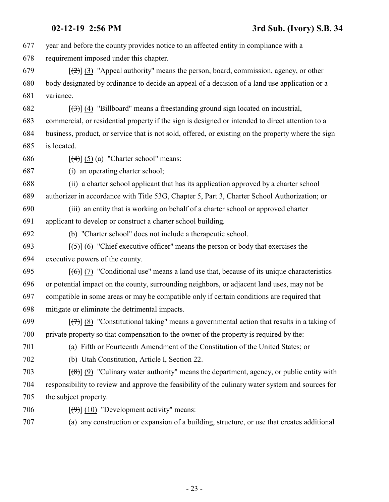year and before the county provides notice to an affected entity in compliance with a requirement imposed under this chapter.  $\left[\frac{1}{2}\right]$  (3) "Appeal authority" means the person, board, commission, agency, or other body designated by ordinance to decide an appeal of a decision of a land use application or a variance.  $\left[\left(\frac{3}{2}\right)\right]$  (4) "Billboard" means a freestanding ground sign located on industrial, commercial, or residential property if the sign is designed or intended to direct attention to a business, product, or service that is not sold, offered, or existing on the property where the sign is located.  $\left[\frac{(4)}{(5)}\right]$  (5) (a) "Charter school" means: (i) an operating charter school; (ii) a charter school applicant that has its application approved by a charter school authorizer in accordance with Title 53G, Chapter 5, Part 3, Charter School Authorization; or (iii) an entity that is working on behalf of a charter school or approved charter applicant to develop or construct a charter school building. (b) "Charter school" does not include a therapeutic school.  $\left[\frac{(-5)}{6}\right]$  (6) "Chief executive officer" means the person or body that exercises the executive powers of the county.  $[(6)]$  (7) "Conditional use" means a land use that, because of its unique characteristics or potential impact on the county, surrounding neighbors, or adjacent land uses, may not be compatible in some areas or may be compatible only if certain conditions are required that mitigate or eliminate the detrimental impacts.  $\lceil(\frac{7}{7})\rceil$  (8) "Constitutional taking" means a governmental action that results in a taking of private property so that compensation to the owner of the property is required by the: (a) Fifth or Fourteenth Amendment of the Constitution of the United States; or (b) Utah Constitution, Article I, Section 22.  $\left[\frac{1}{8}\right]$  (9) "Culinary water authority" means the department, agency, or public entity with responsibility to review and approve the feasibility of the culinary water system and sources for the subject property.  $\left[\left(\frac{9}{9}\right)\right]$  (10) "Development activity" means: (a) any construction or expansion of a building, structure, or use that creates additional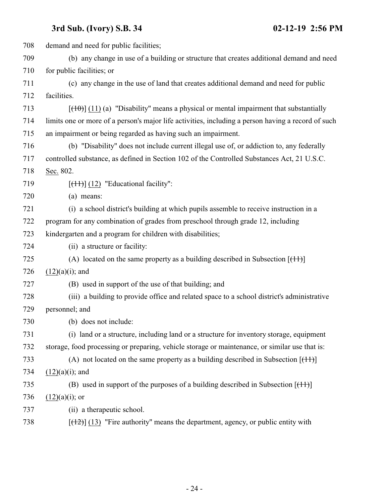| 708 | demand and need for public facilities;                                                               |
|-----|------------------------------------------------------------------------------------------------------|
| 709 | (b) any change in use of a building or structure that creates additional demand and need             |
| 710 | for public facilities; or                                                                            |
| 711 | (c) any change in the use of land that creates additional demand and need for public                 |
| 712 | facilities.                                                                                          |
| 713 | $[\frac{(10)}{(11)}]$ (11) (a) "Disability" means a physical or mental impairment that substantially |
| 714 | limits one or more of a person's major life activities, including a person having a record of such   |
| 715 | an impairment or being regarded as having such an impairment.                                        |
| 716 | (b) "Disability" does not include current illegal use of, or addiction to, any federally             |
| 717 | controlled substance, as defined in Section 102 of the Controlled Substances Act, 21 U.S.C.          |
| 718 | Sec. 802.                                                                                            |
| 719 | $[\text{(+1)}]$ (12) "Educational facility":                                                         |
| 720 | (a) means:                                                                                           |
| 721 | (i) a school district's building at which pupils assemble to receive instruction in a                |
| 722 | program for any combination of grades from preschool through grade 12, including                     |
| 723 | kindergarten and a program for children with disabilities;                                           |
| 724 | (ii) a structure or facility:                                                                        |
| 725 | (A) located on the same property as a building described in Subsection $[$ ( $+1$ ) $]$              |
| 726 | $(12)(a)(i)$ ; and                                                                                   |
| 727 | (B) used in support of the use of that building; and                                                 |
| 728 | (iii) a building to provide office and related space to a school district's administrative           |
| 729 | personnel; and                                                                                       |
| 730 | (b) does not include:                                                                                |
| 731 | (i) land or a structure, including land or a structure for inventory storage, equipment              |
| 732 | storage, food processing or preparing, vehicle storage or maintenance, or similar use that is:       |
| 733 | (A) not located on the same property as a building described in Subsection $[$ ( $+1$ ) $]$          |
| 734 | $(12)(a)(i)$ ; and                                                                                   |
| 735 | (B) used in support of the purposes of a building described in Subsection $[$ ( $]$ $[$ $]$ $]$      |
| 736 | $(12)(a)(i)$ ; or                                                                                    |
| 737 | (ii) a therapeutic school.                                                                           |
| 738 | $[$ ( $\{+2\}$ ) $(13)$ "Fire authority" means the department, agency, or public entity with         |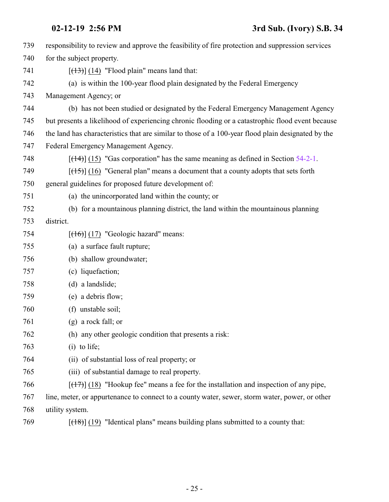| 739 | responsibility to review and approve the feasibility of fire protection and suppression services   |
|-----|----------------------------------------------------------------------------------------------------|
| 740 | for the subject property.                                                                          |
| 741 | $[ (13) ]$ (14) "Flood plain" means land that:                                                     |
| 742 | (a) is within the 100-year flood plain designated by the Federal Emergency                         |
| 743 | Management Agency; or                                                                              |
| 744 | (b) has not been studied or designated by the Federal Emergency Management Agency                  |
| 745 | but presents a likelihood of experiencing chronic flooding or a catastrophic flood event because   |
| 746 | the land has characteristics that are similar to those of a 100-year flood plain designated by the |
| 747 | Federal Emergency Management Agency.                                                               |
| 748 | $[ (14) ] (15)$ "Gas corporation" has the same meaning as defined in Section 54-2-1.               |
| 749 | $[$ (15) $]$ (16) "General plan" means a document that a county adopts that sets forth             |
| 750 | general guidelines for proposed future development of:                                             |
| 751 | (a) the unincorporated land within the county; or                                                  |
| 752 | (b) for a mountainous planning district, the land within the mountainous planning                  |
| 753 | district.                                                                                          |
| 754 | $[ (16) ] (17)$ "Geologic hazard" means:                                                           |
| 755 | (a) a surface fault rupture;                                                                       |
| 756 | (b) shallow groundwater;                                                                           |
| 757 | (c) liquefaction;                                                                                  |
| 758 | (d) a landslide;                                                                                   |
| 759 | (e) a debris flow;                                                                                 |
| 760 | (f) unstable soil;                                                                                 |
| 761 | $(g)$ a rock fall; or                                                                              |
| 762 | (h) any other geologic condition that presents a risk:                                             |
| 763 | $(i)$ to life;                                                                                     |
| 764 | (ii) of substantial loss of real property; or                                                      |
| 765 | (iii) of substantial damage to real property.                                                      |
| 766 | $[(17)]$ (18) "Hookup fee" means a fee for the installation and inspection of any pipe,            |
| 767 | line, meter, or appurtenance to connect to a county water, sewer, storm water, power, or other     |
| 768 | utility system.                                                                                    |
|     |                                                                                                    |

769  $[(18)] (19)$  "Identical plans" means building plans submitted to a county that: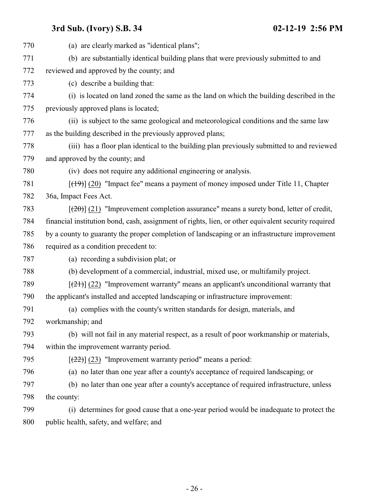| 770 | (a) are clearly marked as "identical plans";                                                        |
|-----|-----------------------------------------------------------------------------------------------------|
| 771 | (b) are substantially identical building plans that were previously submitted to and                |
| 772 | reviewed and approved by the county; and                                                            |
| 773 | (c) describe a building that:                                                                       |
| 774 | (i) is located on land zoned the same as the land on which the building described in the            |
| 775 | previously approved plans is located;                                                               |
| 776 | (ii) is subject to the same geological and meteorological conditions and the same law               |
| 777 | as the building described in the previously approved plans;                                         |
| 778 | (iii) has a floor plan identical to the building plan previously submitted to and reviewed          |
| 779 | and approved by the county; and                                                                     |
| 780 | (iv) does not require any additional engineering or analysis.                                       |
| 781 | $[$ ( $\{+9\}$ ) $]$ (20) "Impact fee" means a payment of money imposed under Title 11, Chapter     |
| 782 | 36a, Impact Fees Act.                                                                               |
| 783 | $[\frac{1}{20}]$ (21) "Improvement completion assurance" means a surety bond, letter of credit,     |
| 784 | financial institution bond, cash, assignment of rights, lien, or other equivalent security required |
| 785 | by a county to guaranty the proper completion of landscaping or an infrastructure improvement       |
| 786 | required as a condition precedent to:                                                               |
| 787 | (a) recording a subdivision plat; or                                                                |
| 788 | (b) development of a commercial, industrial, mixed use, or multifamily project.                     |
| 789 | $[\frac{21}{2}]$ (22) "Improvement warranty" means an applicant's unconditional warranty that       |
| 790 | the applicant's installed and accepted landscaping or infrastructure improvement:                   |
| 791 | (a) complies with the county's written standards for design, materials, and                         |
| 792 | workmanship; and                                                                                    |
| 793 | (b) will not fail in any material respect, as a result of poor workmanship or materials,            |
| 794 | within the improvement warranty period.                                                             |
| 795 | $[\frac{22}{2}]$ (23) "Improvement warranty period" means a period:                                 |
| 796 | (a) no later than one year after a county's acceptance of required landscaping; or                  |
| 797 | (b) no later than one year after a county's acceptance of required infrastructure, unless           |
| 798 | the county:                                                                                         |
| 799 | (i) determines for good cause that a one-year period would be inadequate to protect the             |
| 800 | public health, safety, and welfare; and                                                             |
|     |                                                                                                     |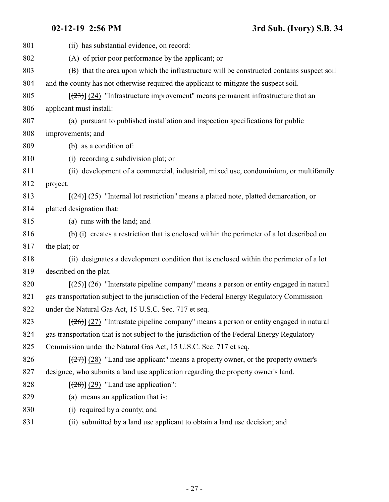(ii) has substantial evidence, on record: (A) of prior poor performance by the applicant; or (B) that the area upon which the infrastructure will be constructed contains suspect soil and the county has not otherwise required the applicant to mitigate the suspect soil.  $\left[\frac{(23)}{(24)}\right]$  (24) "Infrastructure improvement" means permanent infrastructure that an applicant must install: (a) pursuant to published installation and inspection specifications for public improvements; and (b) as a condition of: (i) recording a subdivision plat; or (ii) development of a commercial, industrial, mixed use, condominium, or multifamily project.  $\left[\frac{(24)}{(25)}\right]$  (25) "Internal lot restriction" means a platted note, platted demarcation, or platted designation that: (a) runs with the land; and (b) (i) creates a restriction that is enclosed within the perimeter of a lot described on the plat; or (ii) designates a development condition that is enclosed within the perimeter of a lot described on the plat.  $\left[\frac{(25)}{(26)}\right]$  (26) "Interstate pipeline company" means a person or entity engaged in natural gas transportation subject to the jurisdiction of the Federal Energy Regulatory Commission 822 under the Natural Gas Act, 15 U.S.C. Sec. 717 et seq.  $\left[\frac{(26)}{(27)}\right]$  (27) "Intrastate pipeline company" means a person or entity engaged in natural gas transportation that is not subject to the jurisdiction of the Federal Energy Regulatory 825 Commission under the Natural Gas Act, 15 U.S.C. Sec. 717 et seq.  $\left[\frac{(27)}{(28)}\right]$  (28) "Land use applicant" means a property owner, or the property owner's designee, who submits a land use application regarding the property owner's land.  $\left[\frac{(28)}{(29)}\right]$  (29) "Land use application": (a) means an application that is: (i) required by a county; and (ii) submitted by a land use applicant to obtain a land use decision; and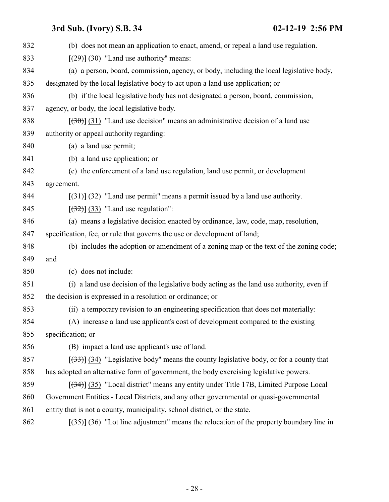| 832 | (b) does not mean an application to enact, amend, or repeal a land use regulation.        |
|-----|-------------------------------------------------------------------------------------------|
| 833 | $\left[\frac{(29)}{(29)}\right]$ (30) "Land use authority" means:                         |
| 834 | (a) a person, board, commission, agency, or body, including the local legislative body,   |
| 835 | designated by the local legislative body to act upon a land use application; or           |
| 836 | (b) if the local legislative body has not designated a person, board, commission,         |
| 837 | agency, or body, the local legislative body.                                              |
| 838 | $(30)$ (31) "Land use decision" means an administrative decision of a land use            |
| 839 | authority or appeal authority regarding:                                                  |
| 840 | (a) a land use permit;                                                                    |
| 841 | (b) a land use application; or                                                            |
| 842 | (c) the enforcement of a land use regulation, land use permit, or development             |
| 843 | agreement.                                                                                |
| 844 | $[31]$ (32) "Land use permit" means a permit issued by a land use authority.              |
| 845 | $[322]$ (33) "Land use regulation":                                                       |
| 846 | (a) means a legislative decision enacted by ordinance, law, code, map, resolution,        |
| 847 | specification, fee, or rule that governs the use or development of land;                  |
| 848 | (b) includes the adoption or amendment of a zoning map or the text of the zoning code;    |
| 849 | and                                                                                       |
| 850 | (c) does not include:                                                                     |
| 851 | (i) a land use decision of the legislative body acting as the land use authority, even if |
| 852 | the decision is expressed in a resolution or ordinance; or                                |
| 853 | (ii) a temporary revision to an engineering specification that does not materially:       |
| 854 | (A) increase a land use applicant's cost of development compared to the existing          |
| 855 | specification; or                                                                         |
| 856 | (B) impact a land use applicant's use of land.                                            |
| 857 | $[333]$ (34) "Legislative body" means the county legislative body, or for a county that   |
| 858 | has adopted an alternative form of government, the body exercising legislative powers.    |
| 859 | $[34]$ (35) "Local district" means any entity under Title 17B, Limited Purpose Local      |
| 860 | Government Entities - Local Districts, and any other governmental or quasi-governmental   |
| 861 | entity that is not a county, municipality, school district, or the state.                 |
| 862 | $[35]$ (36) "Lot line adjustment" means the relocation of the property boundary line in   |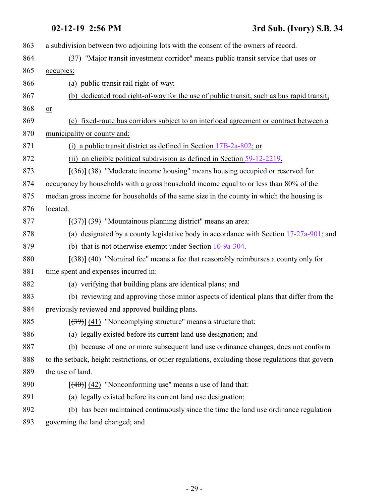| 863 | a subdivision between two adjoining lots with the consent of the owners of record.                 |
|-----|----------------------------------------------------------------------------------------------------|
| 864 | "Major transit investment corridor" means public transit service that uses or<br>(37)              |
| 865 | occupies:                                                                                          |
| 866 | (a) public transit rail right-of-way;                                                              |
| 867 | (b) dedicated road right-of-way for the use of public transit, such as bus rapid transit;          |
| 868 | or                                                                                                 |
| 869 | (c) fixed-route bus corridors subject to an interlocal agreement or contract between a             |
| 870 | municipality or county and:                                                                        |
| 871 | (i) a public transit district as defined in Section $17B-2a-802$ ; or                              |
| 872 | (ii) an eligible political subdivision as defined in Section $59-12-2219$ .                        |
| 873 | $[36]$ (38) "Moderate income housing" means housing occupied or reserved for                       |
| 874 | occupancy by households with a gross household income equal to or less than 80% of the             |
| 875 | median gross income for households of the same size in the county in which the housing is          |
| 876 | located.                                                                                           |
| 877 | $[37]$ (39) "Mountainous planning district" means an area:                                         |
| 878 | (a) designated by a county legislative body in accordance with Section $17-27a-901$ ; and          |
| 879 | (b) that is not otherwise exempt under Section $10-9a-304$ .                                       |
| 880 | $[38]$ (40) "Nominal fee" means a fee that reasonably reimburses a county only for                 |
| 881 | time spent and expenses incurred in:                                                               |
| 882 | (a) verifying that building plans are identical plans; and                                         |
| 883 | (b) reviewing and approving those minor aspects of identical plans that differ from the            |
| 884 | previously reviewed and approved building plans.                                                   |
| 885 | $[\frac{(39)}{(41)}]$ "Noncomplying structure" means a structure that:                             |
| 886 | (a) legally existed before its current land use designation; and                                   |
| 887 | (b) because of one or more subsequent land use ordinance changes, does not conform                 |
| 888 | to the setback, height restrictions, or other regulations, excluding those regulations that govern |
| 889 | the use of land.                                                                                   |
| 890 | $[$ (40)] (42) "Nonconforming use" means a use of land that:                                       |
| 891 | (a) legally existed before its current land use designation;                                       |
| 892 | (b) has been maintained continuously since the time the land use ordinance regulation              |
| 893 | governing the land changed; and                                                                    |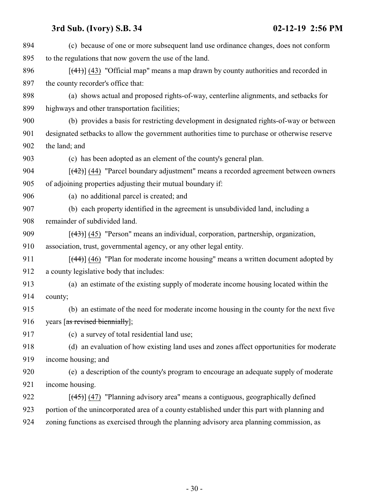| 894 | (c) because of one or more subsequent land use ordinance changes, does not conform            |
|-----|-----------------------------------------------------------------------------------------------|
| 895 | to the regulations that now govern the use of the land.                                       |
| 896 | $[\frac{(41)}{(43)}]$ "Official map" means a map drawn by county authorities and recorded in  |
| 897 | the county recorder's office that:                                                            |
| 898 | (a) shows actual and proposed rights-of-way, centerline alignments, and setbacks for          |
| 899 | highways and other transportation facilities;                                                 |
| 900 | (b) provides a basis for restricting development in designated rights-of-way or between       |
| 901 | designated setbacks to allow the government authorities time to purchase or otherwise reserve |
| 902 | the land; and                                                                                 |
| 903 | (c) has been adopted as an element of the county's general plan.                              |
| 904 | [(42)] (44) "Parcel boundary adjustment" means a recorded agreement between owners            |
| 905 | of adjoining properties adjusting their mutual boundary if:                                   |
| 906 | (a) no additional parcel is created; and                                                      |
| 907 | (b) each property identified in the agreement is unsubdivided land, including a               |
| 908 | remainder of subdivided land.                                                                 |
| 909 | $[$ (43) $]$ (45) "Person" means an individual, corporation, partnership, organization,       |
| 910 | association, trust, governmental agency, or any other legal entity.                           |
| 911 | $[$ (44)] (46) "Plan for moderate income housing" means a written document adopted by         |
| 912 | a county legislative body that includes:                                                      |
| 913 | (a) an estimate of the existing supply of moderate income housing located within the          |
| 914 | county;                                                                                       |
| 915 | (b) an estimate of the need for moderate income housing in the county for the next five       |
| 916 | years [as revised biennially];                                                                |
| 917 | (c) a survey of total residential land use;                                                   |
| 918 | (d) an evaluation of how existing land uses and zones affect opportunities for moderate       |
| 919 | income housing; and                                                                           |
| 920 | (e) a description of the county's program to encourage an adequate supply of moderate         |
| 921 | income housing.                                                                               |
| 922 | $[$ (45) $]$ (47) "Planning advisory area" means a contiguous, geographically defined         |
| 923 | portion of the unincorporated area of a county established under this part with planning and  |
| 924 | zoning functions as exercised through the planning advisory area planning commission, as      |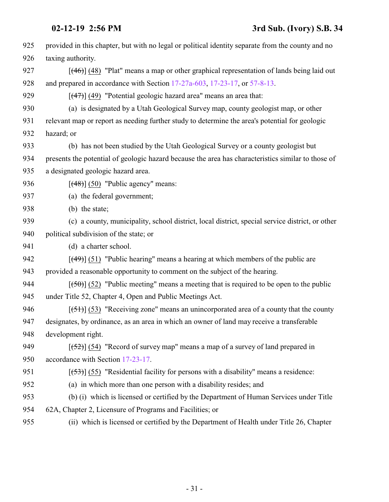| 925 | provided in this chapter, but with no legal or political identity separate from the county and no  |
|-----|----------------------------------------------------------------------------------------------------|
| 926 | taxing authority.                                                                                  |
| 927 | $[$ (46)] (48) "Plat" means a map or other graphical representation of lands being laid out        |
| 928 | and prepared in accordance with Section 17-27a-603, 17-23-17, or 57-8-13.                          |
| 929 | $[$ (47) $]$ (49) "Potential geologic hazard area" means an area that:                             |
| 930 | (a) is designated by a Utah Geological Survey map, county geologist map, or other                  |
| 931 | relevant map or report as needing further study to determine the area's potential for geologic     |
| 932 | hazard; or                                                                                         |
| 933 | (b) has not been studied by the Utah Geological Survey or a county geologist but                   |
| 934 | presents the potential of geologic hazard because the area has characteristics similar to those of |
| 935 | a designated geologic hazard area.                                                                 |
| 936 | $[ (48) ] (50)$ "Public agency" means:                                                             |
| 937 | (a) the federal government;                                                                        |
| 938 | (b) the state;                                                                                     |
| 939 | (c) a county, municipality, school district, local district, special service district, or other    |
| 940 | political subdivision of the state; or                                                             |
| 941 | (d) a charter school.                                                                              |
| 942 | $[$ (49)] (51) "Public hearing" means a hearing at which members of the public are                 |
| 943 | provided a reasonable opportunity to comment on the subject of the hearing.                        |
| 944 | $[50]$ (52) "Public meeting" means a meeting that is required to be open to the public             |
| 945 | under Title 52, Chapter 4, Open and Public Meetings Act.                                           |
| 946 | $[ (51) ]$ (53) "Receiving zone" means an unincorporated area of a county that the county          |
| 947 | designates, by ordinance, as an area in which an owner of land may receive a transferable          |
| 948 | development right.                                                                                 |
| 949 | $[52]$ (54) "Record of survey map" means a map of a survey of land prepared in                     |
| 950 | accordance with Section 17-23-17.                                                                  |
| 951 | $[ (53) ]$ (55) "Residential facility for persons with a disability" means a residence:            |
| 952 | (a) in which more than one person with a disability resides; and                                   |
| 953 | (b) (i) which is licensed or certified by the Department of Human Services under Title             |
| 954 | 62A, Chapter 2, Licensure of Programs and Facilities; or                                           |
| 955 | (ii) which is licensed or certified by the Department of Health under Title 26, Chapter            |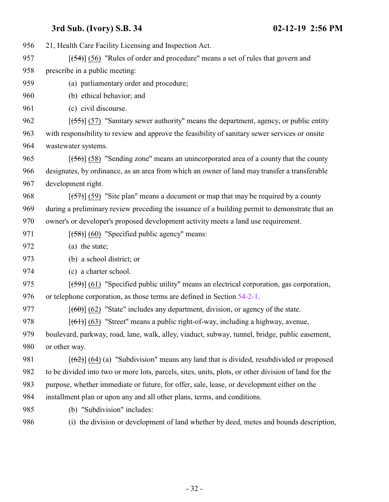21, Health Care Facility Licensing and Inspection Act.  $\left[\frac{54}{3}\right]$  (56) "Rules of order and procedure" means a set of rules that govern and prescribe in a public meeting: (a) parliamentary order and procedure; (b) ethical behavior; and (c) civil discourse.  $\left[\frac{55}{5}\right]$  (57) "Sanitary sewer authority" means the department, agency, or public entity with responsibility to review and approve the feasibility of sanitary sewer services or onsite wastewater systems.  $[(56)]$  (58) "Sending zone" means an unincorporated area of a county that the county designates, by ordinance, as an area from which an owner of land may transfer a transferable development right.  $\left[\frac{\{57\}}{\{57\}}\right]$  (59) "Site plan" means a document or map that may be required by a county during a preliminary review preceding the issuance of a building permit to demonstrate that an owner's or developer's proposed development activity meets a land use requirement.  $[ (58) ] (60)$  "Specified public agency" means: (a) the state; (b) a school district; or (c) a charter school.  $\left[\frac{(-59)}{(61)}\right]$  (61) "Specified public utility" means an electrical corporation, gas corporation, or telephone corporation, as those terms are defined in Section [54-2-1](http://le.utah.gov/UtahCode/SectionLookup.jsp?section=54-2-1&session=2019GS).  $[(60)(62)$  "State" includes any department, division, or agency of the state.  $[(61)] (63)$  "Street" means a public right-of-way, including a highway, avenue, boulevard, parkway, road, lane, walk, alley, viaduct, subway, tunnel, bridge, public easement, or other way.  $[(62)] (64) (a)$  "Subdivision" means any land that is divided, resubdivided or proposed to be divided into two or more lots, parcels, sites, units, plots, or other division of land for the purpose, whether immediate or future, for offer, sale, lease, or development either on the installment plan or upon any and all other plans, terms, and conditions. (b) "Subdivision" includes: (i) the division or development of land whether by deed, metes and bounds description,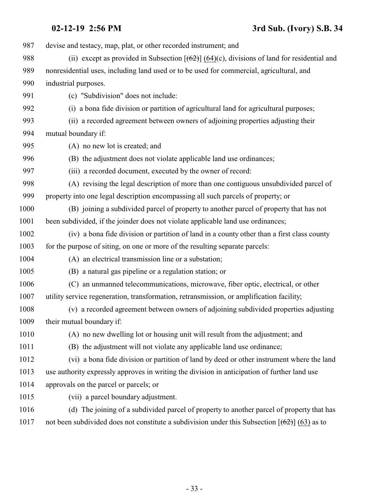| 987  | devise and testacy, map, plat, or other recorded instrument; and                                |
|------|-------------------------------------------------------------------------------------------------|
| 988  | (ii) except as provided in Subsection $[(62)]$ (64)(c), divisions of land for residential and   |
| 989  | nonresidential uses, including land used or to be used for commercial, agricultural, and        |
| 990  | industrial purposes.                                                                            |
| 991  | (c) "Subdivision" does not include:                                                             |
| 992  | (i) a bona fide division or partition of agricultural land for agricultural purposes;           |
| 993  | (ii) a recorded agreement between owners of adjoining properties adjusting their                |
| 994  | mutual boundary if:                                                                             |
| 995  | (A) no new lot is created; and                                                                  |
| 996  | (B) the adjustment does not violate applicable land use ordinances;                             |
| 997  | (iii) a recorded document, executed by the owner of record:                                     |
| 998  | (A) revising the legal description of more than one contiguous unsubdivided parcel of           |
| 999  | property into one legal description encompassing all such parcels of property; or               |
| 1000 | (B) joining a subdivided parcel of property to another parcel of property that has not          |
| 1001 | been subdivided, if the joinder does not violate applicable land use ordinances;                |
| 1002 | (iv) a bona fide division or partition of land in a county other than a first class county      |
| 1003 | for the purpose of siting, on one or more of the resulting separate parcels:                    |
| 1004 | (A) an electrical transmission line or a substation;                                            |
| 1005 | (B) a natural gas pipeline or a regulation station; or                                          |
| 1006 | (C) an unmanned telecommunications, microwave, fiber optic, electrical, or other                |
| 1007 | utility service regeneration, transformation, retransmission, or amplification facility;        |
| 1008 | (v) a recorded agreement between owners of adjoining subdivided properties adjusting            |
| 1009 | their mutual boundary if:                                                                       |
| 1010 | (A) no new dwelling lot or housing unit will result from the adjustment; and                    |
| 1011 | (B) the adjustment will not violate any applicable land use ordinance;                          |
| 1012 | (vi) a bona fide division or partition of land by deed or other instrument where the land       |
| 1013 | use authority expressly approves in writing the division in anticipation of further land use    |
| 1014 | approvals on the parcel or parcels; or                                                          |
| 1015 | (vii) a parcel boundary adjustment.                                                             |
| 1016 | (d) The joining of a subdivided parcel of property to another parcel of property that has       |
| 1017 | not been subdivided does not constitute a subdivision under this Subsection $[(62)]$ (63) as to |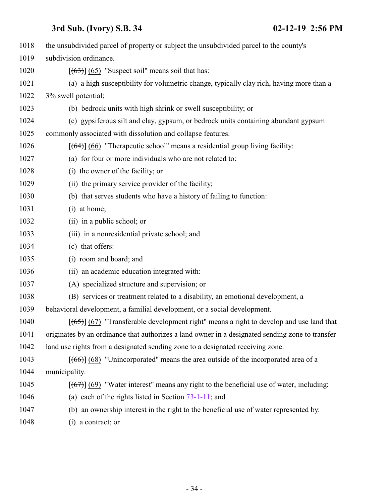| 1018 | the unsubdivided parcel of property or subject the unsubdivided parcel to the county's           |
|------|--------------------------------------------------------------------------------------------------|
| 1019 | subdivision ordinance.                                                                           |
| 1020 | $[ (63) ] (65)$ "Suspect soil" means soil that has:                                              |
| 1021 | (a) a high susceptibility for volumetric change, typically clay rich, having more than a         |
| 1022 | 3% swell potential;                                                                              |
| 1023 | (b) bedrock units with high shrink or swell susceptibility; or                                   |
| 1024 | (c) gypsiferous silt and clay, gypsum, or bedrock units containing abundant gypsum               |
| 1025 | commonly associated with dissolution and collapse features.                                      |
| 1026 | $[ (64) ] (66)$ "Therapeutic school" means a residential group living facility:                  |
| 1027 | (a) for four or more individuals who are not related to:                                         |
| 1028 | (i) the owner of the facility; or                                                                |
| 1029 | (ii) the primary service provider of the facility;                                               |
| 1030 | (b) that serves students who have a history of failing to function:                              |
| 1031 | (i) at home;                                                                                     |
| 1032 | (ii) in a public school; or                                                                      |
| 1033 | (iii) in a nonresidential private school; and                                                    |
| 1034 | (c) that offers:                                                                                 |
| 1035 | (i) room and board; and                                                                          |
| 1036 | (ii) an academic education integrated with:                                                      |
| 1037 | (A) specialized structure and supervision; or                                                    |
| 1038 | (B) services or treatment related to a disability, an emotional development, a                   |
| 1039 | behavioral development, a familial development, or a social development.                         |
| 1040 | $[ (65) ] (67)$ "Transferable development right" means a right to develop and use land that      |
| 1041 | originates by an ordinance that authorizes a land owner in a designated sending zone to transfer |
| 1042 | land use rights from a designated sending zone to a designated receiving zone.                   |
| 1043 | $[ (66) ] (68)$ "Unincorporated" means the area outside of the incorporated area of a            |
| 1044 | municipality.                                                                                    |
| 1045 | $[ (67) ] (69)$ "Water interest" means any right to the beneficial use of water, including:      |
| 1046 | (a) each of the rights listed in Section $73-1-11$ ; and                                         |
| 1047 | (b) an ownership interest in the right to the beneficial use of water represented by:            |
| 1048 | (i) a contract; or                                                                               |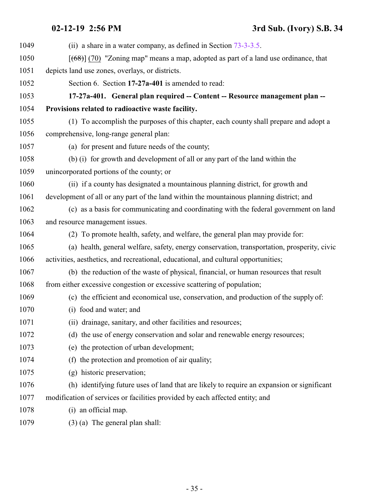<span id="page-34-0"></span>

| 1049 | (ii) a share in a water company, as defined in Section $73-3-3.5$ .                         |
|------|---------------------------------------------------------------------------------------------|
| 1050 | $[ (68) ]$ (70) "Zoning map" means a map, adopted as part of a land use ordinance, that     |
| 1051 | depicts land use zones, overlays, or districts.                                             |
| 1052 | Section 6. Section 17-27a-401 is amended to read:                                           |
| 1053 | 17-27a-401. General plan required -- Content -- Resource management plan --                 |
| 1054 | Provisions related to radioactive waste facility.                                           |
| 1055 | (1) To accomplish the purposes of this chapter, each county shall prepare and adopt a       |
| 1056 | comprehensive, long-range general plan:                                                     |
| 1057 | (a) for present and future needs of the county;                                             |
| 1058 | (b) (i) for growth and development of all or any part of the land within the                |
| 1059 | unincorporated portions of the county; or                                                   |
| 1060 | (ii) if a county has designated a mountainous planning district, for growth and             |
| 1061 | development of all or any part of the land within the mountainous planning district; and    |
| 1062 | (c) as a basis for communicating and coordinating with the federal government on land       |
| 1063 | and resource management issues.                                                             |
| 1064 | (2) To promote health, safety, and welfare, the general plan may provide for:               |
| 1065 | (a) health, general welfare, safety, energy conservation, transportation, prosperity, civic |
| 1066 | activities, aesthetics, and recreational, educational, and cultural opportunities;          |
| 1067 | (b) the reduction of the waste of physical, financial, or human resources that result       |
| 1068 | from either excessive congestion or excessive scattering of population;                     |
| 1069 | (c) the efficient and economical use, conservation, and production of the supply of:        |
| 1070 | (i) food and water; and                                                                     |
| 1071 | (ii) drainage, sanitary, and other facilities and resources;                                |
| 1072 | (d) the use of energy conservation and solar and renewable energy resources;                |
| 1073 | (e) the protection of urban development;                                                    |
| 1074 | (f) the protection and promotion of air quality;                                            |
| 1075 | (g) historic preservation;                                                                  |
| 1076 | (h) identifying future uses of land that are likely to require an expansion or significant  |
| 1077 | modification of services or facilities provided by each affected entity; and                |
| 1078 | (i) an official map.                                                                        |
| 1079 | $(3)$ (a) The general plan shall:                                                           |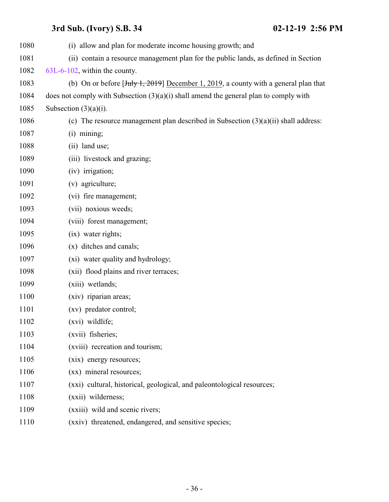| 1080 | (i) allow and plan for moderate income housing growth; and                                                                 |
|------|----------------------------------------------------------------------------------------------------------------------------|
| 1081 | (ii) contain a resource management plan for the public lands, as defined in Section                                        |
| 1082 | 63L-6-102, within the county.                                                                                              |
| 1083 | (b) On or before $\left[\frac{\text{July }1, 2019}{\text{101}}\right]$ December 1, 2019, a county with a general plan that |
| 1084 | does not comply with Subsection $(3)(a)(i)$ shall amend the general plan to comply with                                    |
| 1085 | Subsection $(3)(a)(i)$ .                                                                                                   |
| 1086 | (c) The resource management plan described in Subsection $(3)(a)(ii)$ shall address:                                       |
| 1087 | $(i)$ mining;                                                                                                              |
| 1088 | (ii) land use;                                                                                                             |
| 1089 | (iii) livestock and grazing;                                                                                               |
| 1090 | (iv) irrigation;                                                                                                           |
| 1091 | (v) agriculture;                                                                                                           |
| 1092 | (vi) fire management;                                                                                                      |
| 1093 | (vii) noxious weeds;                                                                                                       |
| 1094 | (viii) forest management;                                                                                                  |
| 1095 | (ix) water rights;                                                                                                         |
| 1096 | (x) ditches and canals;                                                                                                    |
| 1097 | (xi) water quality and hydrology;                                                                                          |
| 1098 | (xii) flood plains and river terraces;                                                                                     |
| 1099 | (xiii) wetlands;                                                                                                           |
| 1100 | (xiv) riparian areas;                                                                                                      |
| 1101 | (xv) predator control;                                                                                                     |
| 1102 | (xvi) wildlife;                                                                                                            |
| 1103 | (xvii) fisheries;                                                                                                          |
| 1104 | (xviii) recreation and tourism;                                                                                            |
| 1105 | (xix) energy resources;                                                                                                    |
| 1106 | (xx) mineral resources;                                                                                                    |
| 1107 | (xxi) cultural, historical, geological, and paleontological resources;                                                     |
| 1108 | (xxii) wilderness;                                                                                                         |
| 1109 | (xxiii) wild and scenic rivers;                                                                                            |
| 1110 | (xxiv) threatened, endangered, and sensitive species;                                                                      |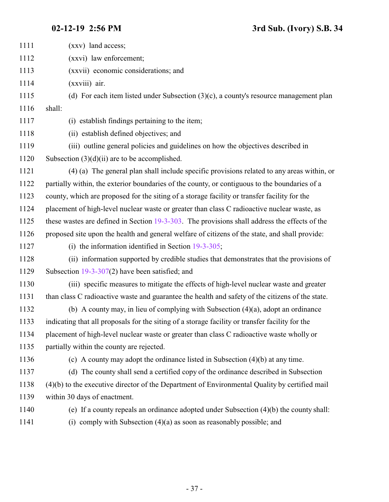| 1111 | (xxv) land access;                                                                               |
|------|--------------------------------------------------------------------------------------------------|
| 1112 | (xxvi) law enforcement;                                                                          |
| 1113 | (xxvii) economic considerations; and                                                             |
| 1114 | (xxviii) air.                                                                                    |
| 1115 | (d) For each item listed under Subsection $(3)(c)$ , a county's resource management plan         |
| 1116 | shall:                                                                                           |
| 1117 | (i) establish findings pertaining to the item;                                                   |
| 1118 | (ii) establish defined objectives; and                                                           |
| 1119 | (iii) outline general policies and guidelines on how the objectives described in                 |
| 1120 | Subsection $(3)(d)(ii)$ are to be accomplished.                                                  |
| 1121 | (4) (a) The general plan shall include specific provisions related to any areas within, or       |
| 1122 | partially within, the exterior boundaries of the county, or contiguous to the boundaries of a    |
| 1123 | county, which are proposed for the siting of a storage facility or transfer facility for the     |
| 1124 | placement of high-level nuclear waste or greater than class C radioactive nuclear waste, as      |
| 1125 | these wastes are defined in Section 19-3-303. The provisions shall address the effects of the    |
| 1126 | proposed site upon the health and general welfare of citizens of the state, and shall provide:   |
| 1127 | (i) the information identified in Section $19-3-305$ ;                                           |
| 1128 | (ii) information supported by credible studies that demonstrates that the provisions of          |
| 1129 | Subsection $19-3-307(2)$ have been satisfied; and                                                |
| 1130 | (iii) specific measures to mitigate the effects of high-level nuclear waste and greater          |
| 1131 | than class C radioactive waste and guarantee the health and safety of the citizens of the state. |
| 1132 | (b) A county may, in lieu of complying with Subsection $(4)(a)$ , adopt an ordinance             |
| 1133 | indicating that all proposals for the siting of a storage facility or transfer facility for the  |
| 1134 | placement of high-level nuclear waste or greater than class C radioactive waste wholly or        |
| 1135 | partially within the county are rejected.                                                        |
| 1136 | (c) A county may adopt the ordinance listed in Subsection $(4)(b)$ at any time.                  |
| 1137 | (d) The county shall send a certified copy of the ordinance described in Subsection              |
| 1138 | $(4)(b)$ to the executive director of the Department of Environmental Quality by certified mail  |
| 1139 | within 30 days of enactment.                                                                     |
| 1140 | (e) If a county repeals an ordinance adopted under Subsection (4)(b) the county shall:           |
| 1141 | (i) comply with Subsection $(4)(a)$ as soon as reasonably possible; and                          |
|      |                                                                                                  |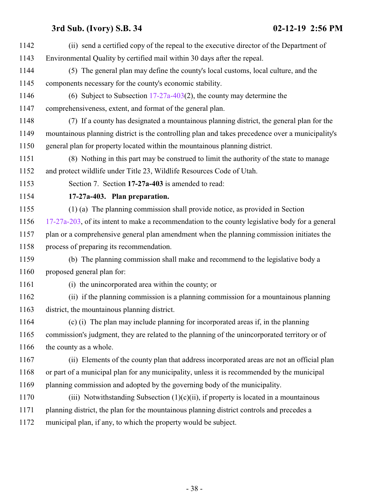<span id="page-37-0"></span>

| 1142 | (ii) send a certified copy of the repeal to the executive director of the Department of          |
|------|--------------------------------------------------------------------------------------------------|
| 1143 | Environmental Quality by certified mail within 30 days after the repeal.                         |
| 1144 | (5) The general plan may define the county's local customs, local culture, and the               |
| 1145 | components necessary for the county's economic stability.                                        |
| 1146 | (6) Subject to Subsection $17-27a-403(2)$ , the county may determine the                         |
| 1147 | comprehensiveness, extent, and format of the general plan.                                       |
| 1148 | (7) If a county has designated a mountainous planning district, the general plan for the         |
| 1149 | mountainous planning district is the controlling plan and takes precedence over a municipality's |
| 1150 | general plan for property located within the mountainous planning district.                      |
| 1151 | (8) Nothing in this part may be construed to limit the authority of the state to manage          |
| 1152 | and protect wildlife under Title 23, Wildlife Resources Code of Utah.                            |
| 1153 | Section 7. Section 17-27a-403 is amended to read:                                                |
| 1154 | 17-27a-403. Plan preparation.                                                                    |
| 1155 | (1) (a) The planning commission shall provide notice, as provided in Section                     |
| 1156 | 17-27a-203, of its intent to make a recommendation to the county legislative body for a general  |
| 1157 | plan or a comprehensive general plan amendment when the planning commission initiates the        |
| 1158 | process of preparing its recommendation.                                                         |
| 1159 | (b) The planning commission shall make and recommend to the legislative body a                   |
| 1160 | proposed general plan for:                                                                       |
| 1161 | (i) the unincorporated area within the county; or                                                |
| 1162 | (ii) if the planning commission is a planning commission for a mountainous planning              |
| 1163 | district, the mountainous planning district.                                                     |
| 1164 | (c) (i) The plan may include planning for incorporated areas if, in the planning                 |
| 1165 | commission's judgment, they are related to the planning of the unincorporated territory or of    |
| 1166 | the county as a whole.                                                                           |
| 1167 | (ii) Elements of the county plan that address incorporated areas are not an official plan        |
| 1168 | or part of a municipal plan for any municipality, unless it is recommended by the municipal      |
| 1169 | planning commission and adopted by the governing body of the municipality.                       |
| 1170 | (iii) Notwithstanding Subsection $(1)(c)(ii)$ , if property is located in a mountainous          |
| 1171 | planning district, the plan for the mountainous planning district controls and precedes a        |
| 1172 | municipal plan, if any, to which the property would be subject.                                  |
|      |                                                                                                  |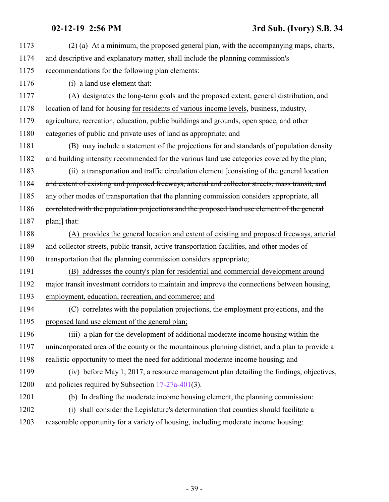| 1173 | (2) (a) At a minimum, the proposed general plan, with the accompanying maps, charts,            |
|------|-------------------------------------------------------------------------------------------------|
| 1174 | and descriptive and explanatory matter, shall include the planning commission's                 |
| 1175 | recommendations for the following plan elements:                                                |
| 1176 | (i) a land use element that:                                                                    |
| 1177 | (A) designates the long-term goals and the proposed extent, general distribution, and           |
| 1178 | location of land for housing for residents of various income levels, business, industry,        |
| 1179 | agriculture, recreation, education, public buildings and grounds, open space, and other         |
| 1180 | categories of public and private uses of land as appropriate; and                               |
| 1181 | (B) may include a statement of the projections for and standards of population density          |
| 1182 | and building intensity recommended for the various land use categories covered by the plan;     |
| 1183 | (ii) a transportation and traffic circulation element [consisting of the general location       |
| 1184 | and extent of existing and proposed freeways, arterial and collector streets, mass transit, and |
| 1185 | any other modes of transportation that the planning commission considers appropriate, all       |
| 1186 | correlated with the population projections and the proposed land use element of the general     |
| 1187 | $\frac{\text{plan}}{\text{plan}}$ that:                                                         |
| 1188 | (A) provides the general location and extent of existing and proposed freeways, arterial        |
| 1189 | and collector streets, public transit, active transportation facilities, and other modes of     |
| 1190 | transportation that the planning commission considers appropriate;                              |
| 1191 | (B) addresses the county's plan for residential and commercial development around               |
| 1192 | major transit investment corridors to maintain and improve the connections between housing,     |
| 1193 | employment, education, recreation, and commerce; and                                            |
| 1194 | correlates with the population projections, the employment projections, and the<br>(C)          |
| 1195 | proposed land use element of the general plan;                                                  |
| 1196 | (iii) a plan for the development of additional moderate income housing within the               |
| 1197 | unincorporated area of the county or the mountainous planning district, and a plan to provide a |
| 1198 | realistic opportunity to meet the need for additional moderate income housing; and              |
| 1199 | (iv) before May 1, 2017, a resource management plan detailing the findings, objectives,         |
| 1200 | and policies required by Subsection $17-27a-401(3)$ .                                           |
| 1201 | (b) In drafting the moderate income housing element, the planning commission:                   |
| 1202 | (i) shall consider the Legislature's determination that counties should facilitate a            |
| 1203 | reasonable opportunity for a variety of housing, including moderate income housing:             |
|      |                                                                                                 |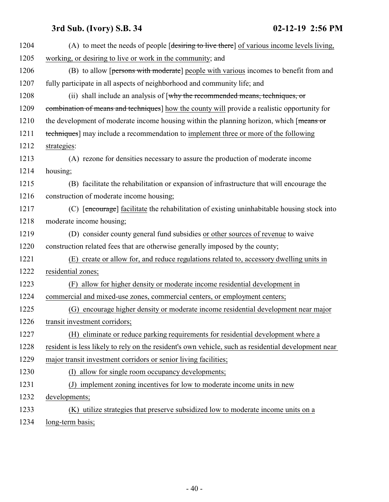| 1204 | (A) to meet the needs of people [desiring to live there] of various income levels living,           |
|------|-----------------------------------------------------------------------------------------------------|
| 1205 | working, or desiring to live or work in the community; and                                          |
| 1206 | (B) to allow [persons with moderate] people with various incomes to benefit from and                |
| 1207 | fully participate in all aspects of neighborhood and community life; and                            |
| 1208 | (ii) shall include an analysis of $\lceil \text{why} \rceil$ the recommended means, techniques, or  |
| 1209 | combination of means and techniques] how the county will provide a realistic opportunity for        |
| 1210 | the development of moderate income housing within the planning horizon, which [means or             |
| 1211 | techniques] may include a recommendation to implement three or more of the following                |
| 1212 | strategies:                                                                                         |
| 1213 | (A) rezone for densities necessary to assure the production of moderate income                      |
| 1214 | housing;                                                                                            |
| 1215 | (B) facilitate the rehabilitation or expansion of infrastructure that will encourage the            |
| 1216 | construction of moderate income housing;                                                            |
| 1217 | (C) [encourage] facilitate the rehabilitation of existing uninhabitable housing stock into          |
| 1218 | moderate income housing;                                                                            |
| 1219 | (D) consider county general fund subsidies or other sources of revenue to waive                     |
| 1220 | construction related fees that are otherwise generally imposed by the county;                       |
| 1221 | (E) create or allow for, and reduce regulations related to, accessory dwelling units in             |
| 1222 | residential zones;                                                                                  |
| 1223 | allow for higher density or moderate income residential development in<br>(F)                       |
| 1224 | commercial and mixed-use zones, commercial centers, or employment centers;                          |
| 1225 | encourage higher density or moderate income residential development near major<br>(G)               |
| 1226 | transit investment corridors;                                                                       |
| 1227 | (H) eliminate or reduce parking requirements for residential development where a                    |
| 1228 | resident is less likely to rely on the resident's own vehicle, such as residential development near |
| 1229 | major transit investment corridors or senior living facilities;                                     |
| 1230 | allow for single room occupancy developments;<br>(I)                                                |
| 1231 | (J) implement zoning incentives for low to moderate income units in new                             |
| 1232 | developments;                                                                                       |
| 1233 | (K) utilize strategies that preserve subsidized low to moderate income units on a                   |
| 1234 | long-term basis;                                                                                    |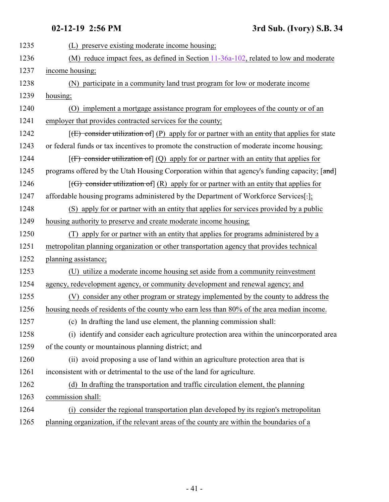| 1235 | preserve existing moderate income housing;<br>(L)                                                            |
|------|--------------------------------------------------------------------------------------------------------------|
| 1236 | (M) reduce impact fees, as defined in Section $11-36a-102$ , related to low and moderate                     |
| 1237 | income housing;                                                                                              |
| 1238 | (N) participate in a community land trust program for low or moderate income                                 |
| 1239 | housing;                                                                                                     |
| 1240 | (O) implement a mortgage assistance program for employees of the county or of an                             |
| 1241 | employer that provides contracted services for the county;                                                   |
| 1242 | $[\text{E})$ consider utilization of $[\text{P})$ apply for or partner with an entity that applies for state |
| 1243 | or federal funds or tax incentives to promote the construction of moderate income housing;                   |
| 1244 | $[f]$ consider utilization of $(Q)$ apply for or partner with an entity that applies for                     |
| 1245 | programs offered by the Utah Housing Corporation within that agency's funding capacity; [and]                |
| 1246 | $[(G)$ consider utilization of $(R)$ apply for or partner with an entity that applies for                    |
| 1247 | affordable housing programs administered by the Department of Workforce Services[-];                         |
| 1248 | (S) apply for or partner with an entity that applies for services provided by a public                       |
| 1249 | housing authority to preserve and create moderate income housing;                                            |
| 1250 | apply for or partner with an entity that applies for programs administered by a                              |
| 1251 | metropolitan planning organization or other transportation agency that provides technical                    |
| 1252 | planning assistance;                                                                                         |
| 1253 | (U) utilize a moderate income housing set aside from a community reinvestment                                |
| 1254 | agency, redevelopment agency, or community development and renewal agency; and                               |
| 1255 | (V) consider any other program or strategy implemented by the county to address the                          |
| 1256 | housing needs of residents of the county who earn less than 80% of the area median income.                   |
| 1257 | (c) In drafting the land use element, the planning commission shall:                                         |
| 1258 | (i) identify and consider each agriculture protection area within the unincorporated area                    |
| 1259 | of the county or mountainous planning district; and                                                          |
| 1260 | (ii) avoid proposing a use of land within an agriculture protection area that is                             |
| 1261 | inconsistent with or detrimental to the use of the land for agriculture.                                     |
| 1262 | (d) In drafting the transportation and traffic circulation element, the planning                             |
| 1263 | commission shall:                                                                                            |
| 1264 | (i) consider the regional transportation plan developed by its region's metropolitan                         |
| 1265 | planning organization, if the relevant areas of the county are within the boundaries of a                    |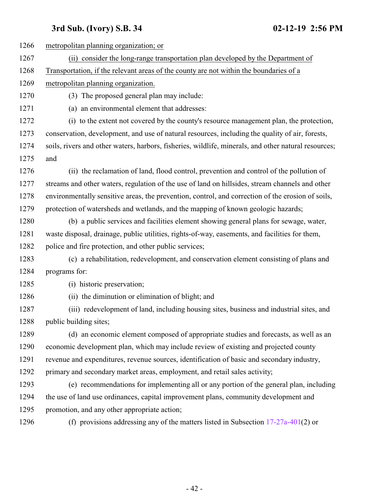| 1266 | metropolitan planning organization; or                                                               |
|------|------------------------------------------------------------------------------------------------------|
| 1267 | (ii) consider the long-range transportation plan developed by the Department of                      |
| 1268 | Transportation, if the relevant areas of the county are not within the boundaries of a               |
| 1269 | metropolitan planning organization.                                                                  |
| 1270 | (3) The proposed general plan may include:                                                           |
| 1271 | (a) an environmental element that addresses:                                                         |
| 1272 | (i) to the extent not covered by the county's resource management plan, the protection,              |
| 1273 | conservation, development, and use of natural resources, including the quality of air, forests,      |
| 1274 | soils, rivers and other waters, harbors, fisheries, wildlife, minerals, and other natural resources; |
| 1275 | and                                                                                                  |
| 1276 | (ii) the reclamation of land, flood control, prevention and control of the pollution of              |
| 1277 | streams and other waters, regulation of the use of land on hillsides, stream channels and other      |
| 1278 | environmentally sensitive areas, the prevention, control, and correction of the erosion of soils,    |
| 1279 | protection of watersheds and wetlands, and the mapping of known geologic hazards;                    |
| 1280 | (b) a public services and facilities element showing general plans for sewage, water,                |
| 1281 | waste disposal, drainage, public utilities, rights-of-way, easements, and facilities for them,       |
| 1282 | police and fire protection, and other public services;                                               |
| 1283 | (c) a rehabilitation, redevelopment, and conservation element consisting of plans and                |
| 1284 | programs for:                                                                                        |
| 1285 | (i) historic preservation;                                                                           |
| 1286 | (ii) the diminution or elimination of blight; and                                                    |
| 1287 | (iii) redevelopment of land, including housing sites, business and industrial sites, and             |
| 1288 | public building sites;                                                                               |
| 1289 | (d) an economic element composed of appropriate studies and forecasts, as well as an                 |
| 1290 | economic development plan, which may include review of existing and projected county                 |
| 1291 | revenue and expenditures, revenue sources, identification of basic and secondary industry,           |
| 1292 | primary and secondary market areas, employment, and retail sales activity;                           |
| 1293 | (e) recommendations for implementing all or any portion of the general plan, including               |
| 1294 | the use of land use ordinances, capital improvement plans, community development and                 |
| 1295 | promotion, and any other appropriate action;                                                         |
| 1296 | (f) provisions addressing any of the matters listed in Subsection $17-27a-401(2)$ or                 |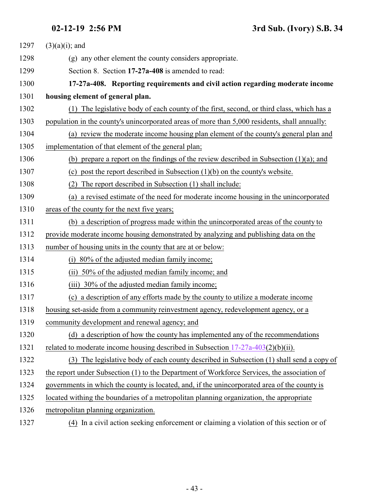<span id="page-42-0"></span>

| 1297 | $(3)(a)(i)$ ; and                                                                             |
|------|-----------------------------------------------------------------------------------------------|
| 1298 | (g) any other element the county considers appropriate.                                       |
| 1299 | Section 8. Section 17-27a-408 is amended to read:                                             |
| 1300 | 17-27a-408. Reporting requirements and civil action regarding moderate income                 |
| 1301 | housing element of general plan.                                                              |
| 1302 | (1) The legislative body of each county of the first, second, or third class, which has a     |
| 1303 | population in the county's unincorporated areas of more than 5,000 residents, shall annually: |
| 1304 | (a) review the moderate income housing plan element of the county's general plan and          |
| 1305 | implementation of that element of the general plan;                                           |
| 1306 | (b) prepare a report on the findings of the review described in Subsection (1)(a); and        |
| 1307 | (c) post the report described in Subsection $(1)(b)$ on the county's website.                 |
| 1308 | The report described in Subsection (1) shall include:<br>(2)                                  |
| 1309 | a revised estimate of the need for moderate income housing in the unincorporated<br>(a)       |
| 1310 | areas of the county for the next five years;                                                  |
| 1311 | (b) a description of progress made within the unincorporated areas of the county to           |
| 1312 | provide moderate income housing demonstrated by analyzing and publishing data on the          |
| 1313 | number of housing units in the county that are at or below:                                   |
| 1314 | 80% of the adjusted median family income;<br>(i)                                              |
| 1315 | (ii) 50% of the adjusted median family income; and                                            |
| 1316 | (iii) 30% of the adjusted median family income;                                               |
| 1317 | (c) a description of any efforts made by the county to utilize a moderate income              |
| 1318 | housing set-aside from a community reinvestment agency, redevelopment agency, or a            |
| 1319 | community development and renewal agency; and                                                 |
| 1320 | (d) a description of how the county has implemented any of the recommendations                |
| 1321 | related to moderate income housing described in Subsection $17-27a-403(2)(b)(ii)$ .           |
| 1322 | (3) The legislative body of each county described in Subsection (1) shall send a copy of      |
| 1323 | the report under Subsection (1) to the Department of Workforce Services, the association of   |
| 1324 | governments in which the county is located, and, if the unincorporated area of the county is  |
| 1325 | located withing the boundaries of a metropolitan planning organization, the appropriate       |
| 1326 | metropolitan planning organization.                                                           |
| 1327 | (4) In a civil action seeking enforcement or claiming a violation of this section or of       |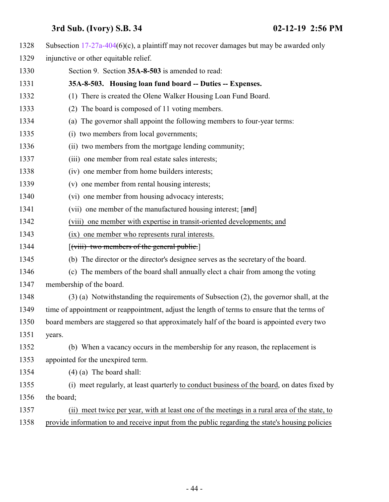<span id="page-43-0"></span>

| 1328 | Subsection $17-27a-404(6)(c)$ , a plaintiff may not recover damages but may be awarded only     |
|------|-------------------------------------------------------------------------------------------------|
| 1329 | injunctive or other equitable relief.                                                           |
| 1330 | Section 9. Section 35A-8-503 is amended to read:                                                |
| 1331 | 35A-8-503. Housing loan fund board -- Duties -- Expenses.                                       |
| 1332 | (1) There is created the Olene Walker Housing Loan Fund Board.                                  |
| 1333 | The board is composed of 11 voting members.<br>(2)                                              |
| 1334 | (a) The governor shall appoint the following members to four-year terms:                        |
| 1335 | (i) two members from local governments;                                                         |
| 1336 | (ii) two members from the mortgage lending community;                                           |
| 1337 | (iii) one member from real estate sales interests;                                              |
| 1338 | (iv) one member from home builders interests;                                                   |
| 1339 | (v) one member from rental housing interests;                                                   |
| 1340 | (vi) one member from housing advocacy interests;                                                |
| 1341 | (vii) one member of the manufactured housing interest; [and]                                    |
| 1342 | (viii) one member with expertise in transit-oriented developments; and                          |
| 1343 | (ix) one member who represents rural interests.                                                 |
| 1344 | $\left[\left(\text{viii}\right)$ two members of the general public.                             |
| 1345 | (b) The director or the director's designee serves as the secretary of the board.               |
| 1346 | (c) The members of the board shall annually elect a chair from among the voting                 |
| 1347 | membership of the board.                                                                        |
| 1348 | (3) (a) Notwithstanding the requirements of Subsection (2), the governor shall, at the          |
| 1349 | time of appointment or reappointment, adjust the length of terms to ensure that the terms of    |
| 1350 | board members are staggered so that approximately half of the board is appointed every two      |
| 1351 | years.                                                                                          |
| 1352 | (b) When a vacancy occurs in the membership for any reason, the replacement is                  |
| 1353 | appointed for the unexpired term.                                                               |
| 1354 | $(4)$ (a) The board shall:                                                                      |
| 1355 | (i) meet regularly, at least quarterly to conduct business of the board, on dates fixed by      |
| 1356 | the board;                                                                                      |
| 1357 | meet twice per year, with at least one of the meetings in a rural area of the state, to<br>(ii) |
| 1358 | provide information to and receive input from the public regarding the state's housing policies |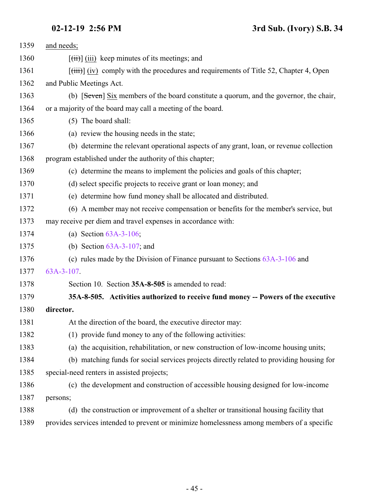<span id="page-44-0"></span>

| 1359 | and needs;                                                                                              |
|------|---------------------------------------------------------------------------------------------------------|
| 1360 | $\left[\overrightarrow{iii}\right]$ (iii) keep minutes of its meetings; and                             |
| 1361 | $[\overrightarrow{tiii}]$ (iv) comply with the procedures and requirements of Title 52, Chapter 4, Open |
| 1362 | and Public Meetings Act.                                                                                |
| 1363 | (b) [Seven] Six members of the board constitute a quorum, and the governor, the chair,                  |
| 1364 | or a majority of the board may call a meeting of the board.                                             |
| 1365 | (5) The board shall:                                                                                    |
| 1366 | (a) review the housing needs in the state;                                                              |
| 1367 | (b) determine the relevant operational aspects of any grant, loan, or revenue collection                |
| 1368 | program established under the authority of this chapter;                                                |
| 1369 | (c) determine the means to implement the policies and goals of this chapter;                            |
| 1370 | (d) select specific projects to receive grant or loan money; and                                        |
| 1371 | (e) determine how fund money shall be allocated and distributed.                                        |
| 1372 | (6) A member may not receive compensation or benefits for the member's service, but                     |
| 1373 | may receive per diem and travel expenses in accordance with:                                            |
| 1374 | (a) Section $63A-3-106$ ;                                                                               |
| 1375 | (b) Section $63A-3-107$ ; and                                                                           |
| 1376 | (c) rules made by the Division of Finance pursuant to Sections $63A-3-106$ and                          |
| 1377 | 63A-3-107.                                                                                              |
| 1378 | Section 10. Section 35A-8-505 is amended to read:                                                       |
| 1379 | 35A-8-505. Activities authorized to receive fund money -- Powers of the executive                       |
| 1380 | director.                                                                                               |
| 1381 | At the direction of the board, the executive director may:                                              |
| 1382 | (1) provide fund money to any of the following activities:                                              |
| 1383 | (a) the acquisition, rehabilitation, or new construction of low-income housing units;                   |
| 1384 | (b) matching funds for social services projects directly related to providing housing for               |
| 1385 | special-need renters in assisted projects;                                                              |
| 1386 | (c) the development and construction of accessible housing designed for low-income                      |
| 1387 | persons;                                                                                                |
| 1388 | (d) the construction or improvement of a shelter or transitional housing facility that                  |
| 1389 | provides services intended to prevent or minimize homelessness among members of a specific              |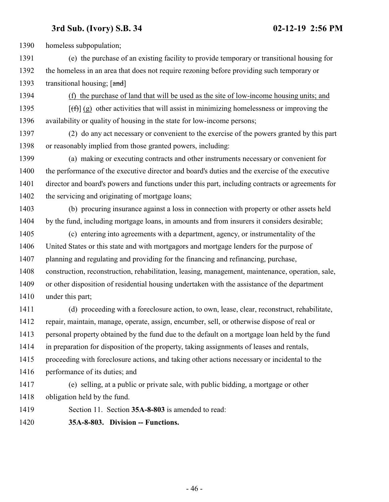homeless subpopulation;

 (e) the purchase of an existing facility to provide temporary or transitional housing for the homeless in an area that does not require rezoning before providing such temporary or 1393 transitional housing; [and]

(f) the purchase of land that will be used as the site of low-income housing units; and

1395  $[(f)$  (g) other activities that will assist in minimizing homelessness or improving the availability or quality of housing in the state for low-income persons;

 (2) do any act necessary or convenient to the exercise of the powers granted by this part or reasonably implied from those granted powers, including:

 (a) making or executing contracts and other instruments necessary or convenient for the performance of the executive director and board's duties and the exercise of the executive director and board's powers and functions under this part, including contracts or agreements for 1402 the servicing and originating of mortgage loans;

 (b) procuring insurance against a loss in connection with property or other assets held by the fund, including mortgage loans, in amounts and from insurers it considers desirable;

 (c) entering into agreements with a department, agency, or instrumentality of the United States or this state and with mortgagors and mortgage lenders for the purpose of planning and regulating and providing for the financing and refinancing, purchase, construction, reconstruction, rehabilitation, leasing, management, maintenance, operation, sale, or other disposition of residential housing undertaken with the assistance of the department under this part;

 (d) proceeding with a foreclosure action, to own, lease, clear, reconstruct, rehabilitate, repair, maintain, manage, operate, assign, encumber, sell, or otherwise dispose of real or personal property obtained by the fund due to the default on a mortgage loan held by the fund in preparation for disposition of the property, taking assignments of leases and rentals, proceeding with foreclosure actions, and taking other actions necessary or incidental to the performance of its duties; and

 (e) selling, at a public or private sale, with public bidding, a mortgage or other obligation held by the fund.

<span id="page-45-0"></span>Section 11. Section **35A-8-803** is amended to read:

**35A-8-803. Division -- Functions.**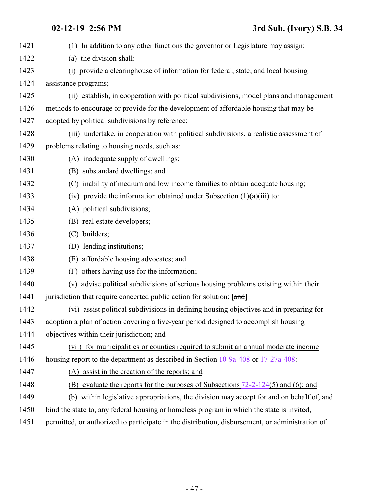| 1421 | (1) In addition to any other functions the governor or Legislature may assign:                  |
|------|-------------------------------------------------------------------------------------------------|
| 1422 | (a) the division shall:                                                                         |
| 1423 | (i) provide a clearinghouse of information for federal, state, and local housing                |
| 1424 | assistance programs;                                                                            |
| 1425 | (ii) establish, in cooperation with political subdivisions, model plans and management          |
| 1426 | methods to encourage or provide for the development of affordable housing that may be           |
| 1427 | adopted by political subdivisions by reference;                                                 |
| 1428 | (iii) undertake, in cooperation with political subdivisions, a realistic assessment of          |
| 1429 | problems relating to housing needs, such as:                                                    |
| 1430 | (A) inadequate supply of dwellings;                                                             |
| 1431 | (B) substandard dwellings; and                                                                  |
| 1432 | (C) inability of medium and low income families to obtain adequate housing;                     |
| 1433 | (iv) provide the information obtained under Subsection $(1)(a)(iii)$ to:                        |
| 1434 | (A) political subdivisions;                                                                     |
| 1435 | (B) real estate developers;                                                                     |
| 1436 | (C) builders;                                                                                   |
| 1437 | (D) lending institutions;                                                                       |
| 1438 | (E) affordable housing advocates; and                                                           |
| 1439 | (F) others having use for the information;                                                      |
| 1440 | (v) advise political subdivisions of serious housing problems existing within their             |
| 1441 | jurisdiction that require concerted public action for solution; [and]                           |
| 1442 | (vi) assist political subdivisions in defining housing objectives and in preparing for          |
| 1443 | adoption a plan of action covering a five-year period designed to accomplish housing            |
| 1444 | objectives within their jurisdiction; and                                                       |
| 1445 | (vii) for municipalities or counties required to submit an annual moderate income               |
| 1446 | housing report to the department as described in Section 10-9a-408 or 17-27a-408:               |
| 1447 | (A) assist in the creation of the reports; and                                                  |
| 1448 | (B) evaluate the reports for the purposes of Subsections $72-2-124(5)$ and (6); and             |
| 1449 | (b) within legislative appropriations, the division may accept for and on behalf of, and        |
| 1450 | bind the state to, any federal housing or homeless program in which the state is invited,       |
| 1451 | permitted, or authorized to participate in the distribution, disbursement, or administration of |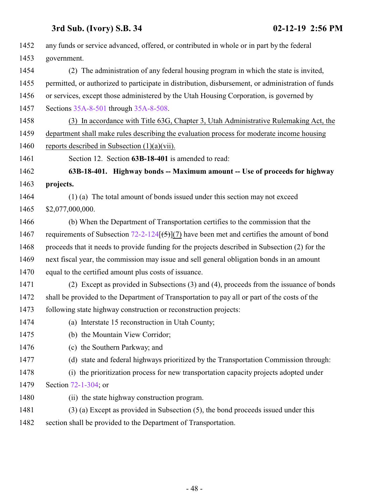<span id="page-47-0"></span>

| 1452 | any funds or service advanced, offered, or contributed in whole or in part by the federal         |
|------|---------------------------------------------------------------------------------------------------|
| 1453 | government.                                                                                       |
| 1454 | (2) The administration of any federal housing program in which the state is invited,              |
| 1455 | permitted, or authorized to participate in distribution, disbursement, or administration of funds |
| 1456 | or services, except those administered by the Utah Housing Corporation, is governed by            |
| 1457 | Sections 35A-8-501 through 35A-8-508.                                                             |
| 1458 | (3) In accordance with Title 63G, Chapter 3, Utah Administrative Rulemaking Act, the              |
| 1459 | department shall make rules describing the evaluation process for moderate income housing         |
| 1460 | reports described in Subsection $(1)(a)(vii)$ .                                                   |
| 1461 | Section 12. Section 63B-18-401 is amended to read:                                                |
| 1462 | 63B-18-401. Highway bonds -- Maximum amount -- Use of proceeds for highway                        |
| 1463 | projects.                                                                                         |
| 1464 | (1) (a) The total amount of bonds issued under this section may not exceed                        |
| 1465 | \$2,077,000,000.                                                                                  |
| 1466 | (b) When the Department of Transportation certifies to the commission that the                    |
| 1467 | requirements of Subsection $72-2-124(5)(7)$ have been met and certifies the amount of bond        |
| 1468 | proceeds that it needs to provide funding for the projects described in Subsection (2) for the    |
| 1469 | next fiscal year, the commission may issue and sell general obligation bonds in an amount         |
| 1470 | equal to the certified amount plus costs of issuance.                                             |
| 1471 | (2) Except as provided in Subsections (3) and (4), proceeds from the issuance of bonds            |
| 1472 | shall be provided to the Department of Transportation to pay all or part of the costs of the      |
| 1473 | following state highway construction or reconstruction projects:                                  |
| 1474 | (a) Interstate 15 reconstruction in Utah County;                                                  |
| 1475 | (b) the Mountain View Corridor;                                                                   |
| 1476 | (c) the Southern Parkway; and                                                                     |
| 1477 | (d) state and federal highways prioritized by the Transportation Commission through:              |
| 1478 | (i) the prioritization process for new transportation capacity projects adopted under             |
| 1479 | Section 72-1-304; or                                                                              |
| 1480 | (ii) the state highway construction program.                                                      |
| 1481 | $(3)$ (a) Except as provided in Subsection $(5)$ , the bond proceeds issued under this            |
| 1482 | section shall be provided to the Department of Transportation.                                    |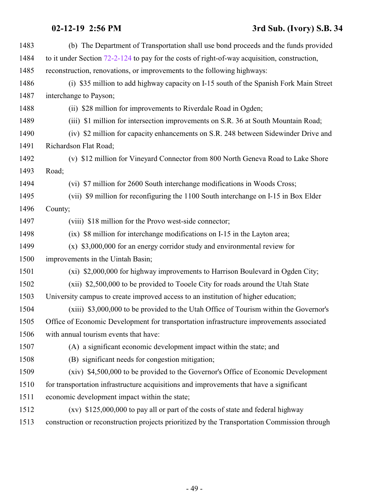| 1483 | (b) The Department of Transportation shall use bond proceeds and the funds provided            |
|------|------------------------------------------------------------------------------------------------|
| 1484 | to it under Section $72-2-124$ to pay for the costs of right-of-way acquisition, construction, |
| 1485 | reconstruction, renovations, or improvements to the following highways:                        |
| 1486 | (i) \$35 million to add highway capacity on I-15 south of the Spanish Fork Main Street         |
| 1487 | interchange to Payson;                                                                         |
| 1488 | (ii) \$28 million for improvements to Riverdale Road in Ogden;                                 |
| 1489 | (iii) \$1 million for intersection improvements on S.R. 36 at South Mountain Road;             |
| 1490 | (iv) \$2 million for capacity enhancements on S.R. 248 between Sidewinder Drive and            |
| 1491 | Richardson Flat Road;                                                                          |
| 1492 | (v) \$12 million for Vineyard Connector from 800 North Geneva Road to Lake Shore               |
| 1493 | Road;                                                                                          |
| 1494 | (vi) \$7 million for 2600 South interchange modifications in Woods Cross;                      |
| 1495 | (vii) \$9 million for reconfiguring the 1100 South interchange on I-15 in Box Elder            |
| 1496 | County;                                                                                        |
| 1497 | (viii) \$18 million for the Provo west-side connector;                                         |
| 1498 | (ix) \$8 million for interchange modifications on I-15 in the Layton area;                     |
| 1499 | $(x)$ \$3,000,000 for an energy corridor study and environmental review for                    |
| 1500 | improvements in the Uintah Basin;                                                              |
| 1501 | (xi) \$2,000,000 for highway improvements to Harrison Boulevard in Ogden City;                 |
| 1502 | (xii) \$2,500,000 to be provided to Tooele City for roads around the Utah State                |
| 1503 | University campus to create improved access to an institution of higher education;             |
| 1504 | (xiii) \$3,000,000 to be provided to the Utah Office of Tourism within the Governor's          |
| 1505 | Office of Economic Development for transportation infrastructure improvements associated       |
| 1506 | with annual tourism events that have:                                                          |
| 1507 | (A) a significant economic development impact within the state; and                            |
| 1508 | (B) significant needs for congestion mitigation;                                               |
| 1509 | (xiv) \$4,500,000 to be provided to the Governor's Office of Economic Development              |
| 1510 | for transportation infrastructure acquisitions and improvements that have a significant        |
| 1511 | economic development impact within the state;                                                  |
| 1512 | $(xv)$ \$125,000,000 to pay all or part of the costs of state and federal highway              |
| 1513 | construction or reconstruction projects prioritized by the Transportation Commission through   |
|      |                                                                                                |

- 49 -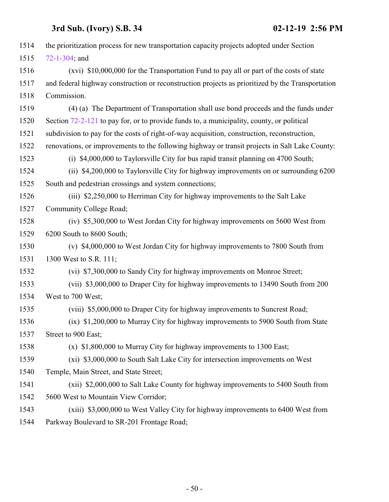| 1514 | the prioritization process for new transportation capacity projects adopted under Section        |
|------|--------------------------------------------------------------------------------------------------|
| 1515 | $72 - 1 - 304$ ; and                                                                             |
| 1516 | (xvi) \$10,000,000 for the Transportation Fund to pay all or part of the costs of state          |
| 1517 | and federal highway construction or reconstruction projects as prioritized by the Transportation |
| 1518 | Commission.                                                                                      |
| 1519 | (4) (a) The Department of Transportation shall use bond proceeds and the funds under             |
| 1520 | Section 72-2-121 to pay for, or to provide funds to, a municipality, county, or political        |
| 1521 | subdivision to pay for the costs of right-of-way acquisition, construction, reconstruction,      |
| 1522 | renovations, or improvements to the following highway or transit projects in Salt Lake County:   |
| 1523 | (i) \$4,000,000 to Taylorsville City for bus rapid transit planning on 4700 South;               |
| 1524 | (ii) \$4,200,000 to Taylorsville City for highway improvements on or surrounding 6200            |
| 1525 | South and pedestrian crossings and system connections;                                           |
| 1526 | (iii) \$2,250,000 to Herriman City for highway improvements to the Salt Lake                     |
| 1527 | Community College Road;                                                                          |
| 1528 | (iv) \$5,300,000 to West Jordan City for highway improvements on 5600 West from                  |
| 1529 | 6200 South to 8600 South;                                                                        |
| 1530 | (v) \$4,000,000 to West Jordan City for highway improvements to 7800 South from                  |
| 1531 | 1300 West to S.R. 111;                                                                           |
| 1532 | (vi) \$7,300,000 to Sandy City for highway improvements on Monroe Street;                        |
| 1533 | (vii) \$3,000,000 to Draper City for highway improvements to 13490 South from 200                |
| 1534 | West to 700 West;                                                                                |
| 1535 | (viii) \$5,000,000 to Draper City for highway improvements to Suncrest Road;                     |
| 1536 | (ix) \$1,200,000 to Murray City for highway improvements to 5900 South from State                |
| 1537 | Street to 900 East;                                                                              |
| 1538 | $(x)$ \$1,800,000 to Murray City for highway improvements to 1300 East;                          |
| 1539 | (xi) \$3,000,000 to South Salt Lake City for intersection improvements on West                   |
| 1540 | Temple, Main Street, and State Street;                                                           |
| 1541 | (xii) \$2,000,000 to Salt Lake County for highway improvements to 5400 South from                |
| 1542 | 5600 West to Mountain View Corridor;                                                             |
| 1543 | (xiii) \$3,000,000 to West Valley City for highway improvements to 6400 West from                |
| 1544 | Parkway Boulevard to SR-201 Frontage Road;                                                       |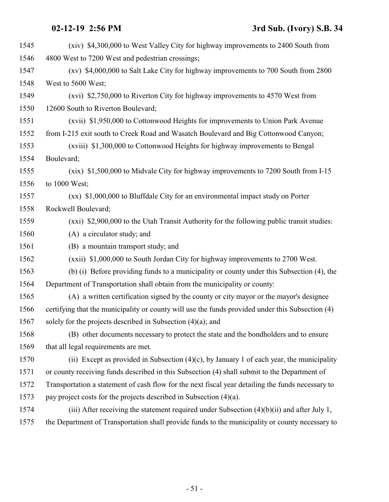| 1545 | (xiv) \$4,300,000 to West Valley City for highway improvements to 2400 South from                 |
|------|---------------------------------------------------------------------------------------------------|
| 1546 | 4800 West to 7200 West and pedestrian crossings;                                                  |
| 1547 | (xv) \$4,000,000 to Salt Lake City for highway improvements to 700 South from 2800                |
| 1548 | West to 5600 West;                                                                                |
| 1549 | (xvi) \$2,750,000 to Riverton City for highway improvements to 4570 West from                     |
| 1550 | 12600 South to Riverton Boulevard;                                                                |
| 1551 | (xvii) \$1,950,000 to Cottonwood Heights for improvements to Union Park Avenue                    |
| 1552 | from I-215 exit south to Creek Road and Wasatch Boulevard and Big Cottonwood Canyon;              |
| 1553 | (xviii) \$1,300,000 to Cottonwood Heights for highway improvements to Bengal                      |
| 1554 | Boulevard;                                                                                        |
| 1555 | (xix) \$1,500,000 to Midvale City for highway improvements to 7200 South from I-15                |
| 1556 | to 1000 West;                                                                                     |
| 1557 | $(xx)$ \$1,000,000 to Bluffdale City for an environmental impact study on Porter                  |
| 1558 | Rockwell Boulevard;                                                                               |
| 1559 | (xxi) \$2,900,000 to the Utah Transit Authority for the following public transit studies:         |
| 1560 | (A) a circulator study; and                                                                       |
| 1561 | (B) a mountain transport study; and                                                               |
| 1562 | (xxii) \$1,000,000 to South Jordan City for highway improvements to 2700 West.                    |
| 1563 | (b) (i) Before providing funds to a municipality or county under this Subsection (4), the         |
| 1564 | Department of Transportation shall obtain from the municipality or county:                        |
| 1565 | (A) a written certification signed by the county or city mayor or the mayor's designee            |
| 1566 | certifying that the municipality or county will use the funds provided under this Subsection (4)  |
| 1567 | solely for the projects described in Subsection $(4)(a)$ ; and                                    |
| 1568 | (B) other documents necessary to protect the state and the bondholders and to ensure              |
| 1569 | that all legal requirements are met.                                                              |
| 1570 | (ii) Except as provided in Subsection $(4)(c)$ , by January 1 of each year, the municipality      |
| 1571 | or county receiving funds described in this Subsection (4) shall submit to the Department of      |
| 1572 | Transportation a statement of cash flow for the next fiscal year detailing the funds necessary to |
| 1573 | pay project costs for the projects described in Subsection (4)(a).                                |
| 1574 | (iii) After receiving the statement required under Subsection $(4)(b)(ii)$ and after July 1,      |
| 1575 | the Department of Transportation shall provide funds to the municipality or county necessary to   |
|      |                                                                                                   |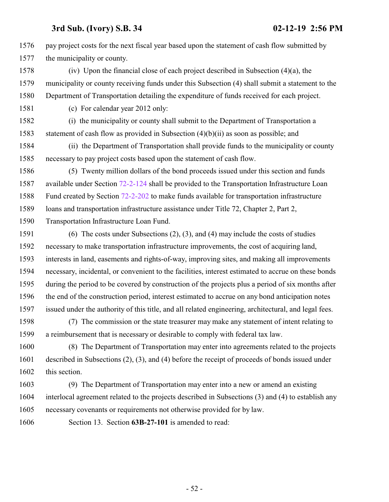pay project costs for the next fiscal year based upon the statement of cash flow submitted by the municipality or county.

 (iv) Upon the financial close of each project described in Subsection (4)(a), the municipality or county receiving funds under this Subsection (4) shall submit a statement to the Department of Transportation detailing the expenditure of funds received for each project.

(c) For calendar year 2012 only:

 (i) the municipality or county shall submit to the Department of Transportation a statement of cash flow as provided in Subsection (4)(b)(ii) as soon as possible; and

 (ii) the Department of Transportation shall provide funds to the municipality or county necessary to pay project costs based upon the statement of cash flow.

 (5) Twenty million dollars of the bond proceeds issued under this section and funds available under Section [72-2-124](#page-57-0) shall be provided to the Transportation Infrastructure Loan Fund created by Section [72-2-202](http://le.utah.gov/UtahCode/SectionLookup.jsp?section=72-2-202&session=2019GS) to make funds available for transportation infrastructure loans and transportation infrastructure assistance under Title 72, Chapter 2, Part 2,

Transportation Infrastructure Loan Fund.

 (6) The costs under Subsections (2), (3), and (4) may include the costs of studies necessary to make transportation infrastructure improvements, the cost of acquiring land, interests in land, easements and rights-of-way, improving sites, and making all improvements necessary, incidental, or convenient to the facilities, interest estimated to accrue on these bonds during the period to be covered by construction of the projects plus a period of six months after the end of the construction period, interest estimated to accrue on any bond anticipation notes issued under the authority of this title, and all related engineering, architectural, and legal fees.

 (7) The commission or the state treasurer may make any statement of intent relating to a reimbursement that is necessary or desirable to comply with federal tax law.

 (8) The Department of Transportation may enter into agreements related to the projects described in Subsections (2), (3), and (4) before the receipt of proceeds of bonds issued under this section.

 (9) The Department of Transportation may enter into a new or amend an existing interlocal agreement related to the projects described in Subsections (3) and (4) to establish any necessary covenants or requirements not otherwise provided for by law.

<span id="page-51-0"></span>Section 13. Section **63B-27-101** is amended to read: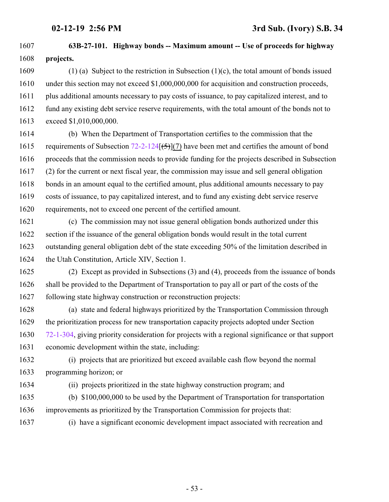- **63B-27-101. Highway bonds -- Maximum amount -- Use of proceeds for highway projects.**
- (1) (a) Subject to the restriction in Subsection (1)(c), the total amount of bonds issued under this section may not exceed \$1,000,000,000 for acquisition and construction proceeds, plus additional amounts necessary to pay costs of issuance, to pay capitalized interest, and to fund any existing debt service reserve requirements, with the total amount of the bonds not to exceed \$1,010,000,000.
- (b) When the Department of Transportation certifies to the commission that the 1615 requirements of Subsection  $72-2-124$   $(5)$   $(7)$  have been met and certifies the amount of bond proceeds that the commission needs to provide funding for the projects described in Subsection (2) for the current or next fiscal year, the commission may issue and sell general obligation bonds in an amount equal to the certified amount, plus additional amounts necessary to pay costs of issuance, to pay capitalized interest, and to fund any existing debt service reserve requirements, not to exceed one percent of the certified amount.
- (c) The commission may not issue general obligation bonds authorized under this section if the issuance of the general obligation bonds would result in the total current outstanding general obligation debt of the state exceeding 50% of the limitation described in the Utah Constitution, Article XIV, Section 1.
- (2) Except as provided in Subsections (3) and (4), proceeds from the issuance of bonds shall be provided to the Department of Transportation to pay all or part of the costs of the following state highway construction or reconstruction projects:
- (a) state and federal highways prioritized by the Transportation Commission through the prioritization process for new transportation capacity projects adopted under Section [72-1-304](#page-55-0), giving priority consideration for projects with a regional significance or that support economic development within the state, including:
- (i) projects that are prioritized but exceed available cash flow beyond the normal programming horizon; or
- 

(ii) projects prioritized in the state highway construction program; and

- (b) \$100,000,000 to be used by the Department of Transportation for transportation improvements as prioritized by the Transportation Commission for projects that:
- (i) have a significant economic development impact associated with recreation and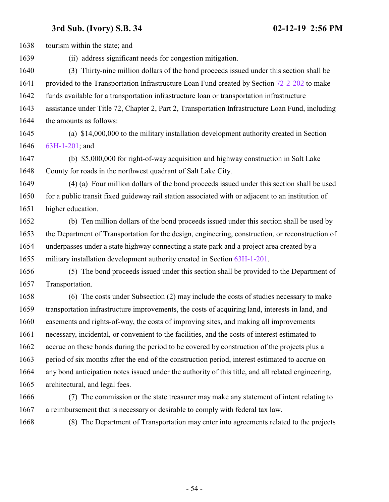tourism within the state; and (ii) address significant needs for congestion mitigation. (3) Thirty-nine million dollars of the bond proceeds issued under this section shall be 1641 provided to the Transportation Infrastructure Loan Fund created by Section [72-2-202](http://le.utah.gov/UtahCode/SectionLookup.jsp?section=72-2-202&session=2019GS) to make funds available for a transportation infrastructure loan or transportation infrastructure assistance under Title 72, Chapter 2, Part 2, Transportation Infrastructure Loan Fund, including the amounts as follows: (a) \$14,000,000 to the military installation development authority created in Section [63H-1-201](http://le.utah.gov/UtahCode/SectionLookup.jsp?section=63h-1-201&session=2019GS); and (b) \$5,000,000 for right-of-way acquisition and highway construction in Salt Lake County for roads in the northwest quadrant of Salt Lake City. (4) (a) Four million dollars of the bond proceeds issued under this section shall be used 1650 for a public transit fixed guideway rail station associated with or adjacent to an institution of higher education. (b) Ten million dollars of the bond proceeds issued under this section shall be used by the Department of Transportation for the design, engineering, construction, or reconstruction of underpasses under a state highway connecting a state park and a project area created by a military installation development authority created in Section [63H-1-201](http://le.utah.gov/UtahCode/SectionLookup.jsp?section=63h-1-201&session=2019GS). (5) The bond proceeds issued under this section shall be provided to the Department of Transportation. (6) The costs under Subsection (2) may include the costs of studies necessary to make transportation infrastructure improvements, the costs of acquiring land, interests in land, and easements and rights-of-way, the costs of improving sites, and making all improvements necessary, incidental, or convenient to the facilities, and the costs of interest estimated to accrue on these bonds during the period to be covered by construction of the projects plus a period of six months after the end of the construction period, interest estimated to accrue on any bond anticipation notes issued under the authority of this title, and all related engineering, architectural, and legal fees. (7) The commission or the state treasurer may make any statement of intent relating to a reimbursement that is necessary or desirable to comply with federal tax law. (8) The Department of Transportation may enter into agreements related to the projects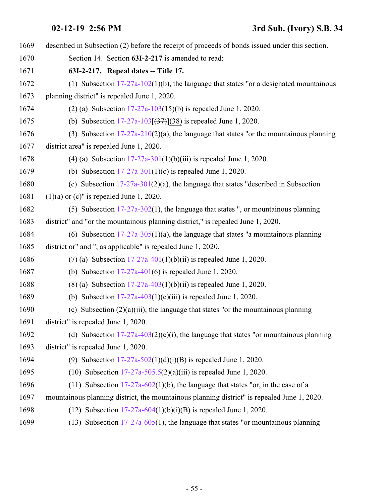<span id="page-54-0"></span> described in Subsection (2) before the receipt of proceeds of bonds issued under this section. Section 14. Section **63I-2-217** is amended to read: **63I-2-217. Repeal dates -- Title 17.** (1) Subsection [17-27a-102](http://le.utah.gov/UtahCode/SectionLookup.jsp?section=17-27a-102&session=2019GS)(1)(b), the language that states "or a designated mountainous planning district" is repealed June 1, 2020. (2) (a) Subsection [17-27a-103](#page-21-0)(15)(b) is repealed June 1, 2020. 1675 (b) Subsection  $17-27a-103(37)$  (38) is repealed June 1, 2020. (3) Subsection [17-27a-210](http://le.utah.gov/UtahCode/SectionLookup.jsp?section=17-27a-210&session=2019GS)(2)(a), the language that states "or the mountainous planning district area" is repealed June 1, 2020. (4) (a) Subsection [17-27a-301](http://le.utah.gov/UtahCode/SectionLookup.jsp?section=17-27a-301&session=2019GS)(1)(b)(iii) is repealed June 1, 2020. (b) Subsection [17-27a-301](http://le.utah.gov/UtahCode/SectionLookup.jsp?section=17-27a-301&session=2019GS)(1)(c) is repealed June 1, 2020. 1680 (c) Subsection  $17-27a-301(2)(a)$ , the language that states "described in Subsection (1)(a) or (c)" is repealed June 1, 2020. (5) Subsection [17-27a-302](http://le.utah.gov/UtahCode/SectionLookup.jsp?section=17-27a-302&session=2019GS)(1), the language that states ", or mountainous planning district" and "or the mountainous planning district," is repealed June 1, 2020. (6) Subsection [17-27a-305](http://le.utah.gov/UtahCode/SectionLookup.jsp?section=17-27a-305&session=2019GS)(1)(a), the language that states "a mountainous planning district or" and ", as applicable" is repealed June 1, 2020. (7) (a) Subsection [17-27a-401](#page-34-0)(1)(b)(ii) is repealed June 1, 2020. (b) Subsection [17-27a-401](#page-34-0)(6) is repealed June 1, 2020. 1688 (8) (a) Subsection  $17-27a-403(1)(b)(ii)$  is repealed June 1, 2020. (b) Subsection [17-27a-403](#page-37-0)(1)(c)(iii) is repealed June 1, 2020. (c) Subsection (2)(a)(iii), the language that states "or the mountainous planning district" is repealed June 1, 2020. 1692 (d) Subsection  $17-27a-403(2)(c)(i)$ , the language that states "or mountainous planning district" is repealed June 1, 2020. (9) Subsection [17-27a-502](http://le.utah.gov/UtahCode/SectionLookup.jsp?section=17-27a-502&session=2019GS)(1)(d)(i)(B) is repealed June 1, 2020. (10) Subsection [17-27a-505.5](http://le.utah.gov/UtahCode/SectionLookup.jsp?section=17-27a-505.5&session=2019GS)(2)(a)(iii) is repealed June 1, 2020. 1696 (11) Subsection  $17-27a-602(1)(b)$ , the language that states "or, in the case of a mountainous planning district, the mountainous planning district" is repealed June 1, 2020. 1698 (12) Subsection  $17-27a-604(1)(b)(i)(B)$  is repealed June 1, 2020. (13) Subsection [17-27a-605](http://le.utah.gov/UtahCode/SectionLookup.jsp?section=17-27a-605&session=2019GS)(1), the language that states "or mountainous planning

- 55 -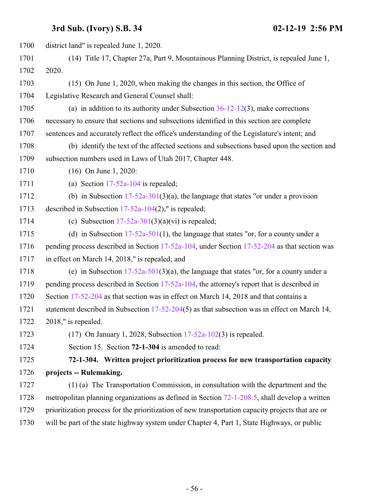<span id="page-55-0"></span> district land" is repealed June 1, 2020. (14) Title 17, Chapter 27a, Part 9, Mountainous Planning District, is repealed June 1, 2020. (15) On June 1, 2020, when making the changes in this section, the Office of Legislative Research and General Counsel shall: (a) in addition to its authority under Subsection [36-12-12](http://le.utah.gov/UtahCode/SectionLookup.jsp?section=36-12-12&session=2019GS)(3), make corrections necessary to ensure that sections and subsections identified in this section are complete sentences and accurately reflect the office's understanding of the Legislature's intent; and (b) identify the text of the affected sections and subsections based upon the section and subsection numbers used in Laws of Utah 2017, Chapter 448. (16) On June 1, 2020: (a) Section [17-52a-104](http://le.utah.gov/UtahCode/SectionLookup.jsp?section=17-52a-104&session=2019GS) is repealed; 1712 (b) in Subsection  $17-52a-301(3)(a)$ , the language that states "or under a provision described in Subsection [17-52a-104](http://le.utah.gov/UtahCode/SectionLookup.jsp?section=17-52a-104&session=2019GS)(2)," is repealed; 1714 (c) Subsection  $17-52a-301(3)(a)(vi)$  is repealed; 1715 (d) in Subsection  $17-52a-501(1)$ , the language that states "or, for a county under a 1716 pending process described in Section [17-52a-104](http://le.utah.gov/UtahCode/SectionLookup.jsp?section=17-52a-104&session=2019GS), under Section [17-52-204](http://le.utah.gov/UtahCode/SectionLookup.jsp?section=17-52-204&session=2019GS) as that section was in effect on March 14, 2018," is repealed; and (e) in Subsection [17-52a-501](http://le.utah.gov/UtahCode/SectionLookup.jsp?section=17-52a-501&session=2019GS)(3)(a), the language that states "or, for a county under a 1719 pending process described in Section [17-52a-104](http://le.utah.gov/UtahCode/SectionLookup.jsp?section=17-52a-104&session=2019GS), the attorney's report that is described in Section [17-52-204](http://le.utah.gov/UtahCode/SectionLookup.jsp?section=17-52-204&session=2019GS) as that section was in effect on March 14, 2018 and that contains a 1721 statement described in Subsection [17-52-204](http://le.utah.gov/UtahCode/SectionLookup.jsp?section=17-52-204&session=2019GS)(5) as that subsection was in effect on March 14, 2018," is repealed. (17) On January 1, 2028, Subsection [17-52a-102](http://le.utah.gov/UtahCode/SectionLookup.jsp?section=17-52a-102&session=2019GS)(3) is repealed. Section 15. Section **72-1-304** is amended to read: **72-1-304. Written project prioritization process for new transportation capacity projects -- Rulemaking.** (1) (a) The Transportation Commission, in consultation with the department and the metropolitan planning organizations as defined in Section [72-1-208.5](http://le.utah.gov/UtahCode/SectionLookup.jsp?section=72-1-208.5&session=2019GS), shall develop a written prioritization process for the prioritization of new transportation capacity projects that are or will be part of the state highway system under Chapter 4, Part 1, State Highways, or public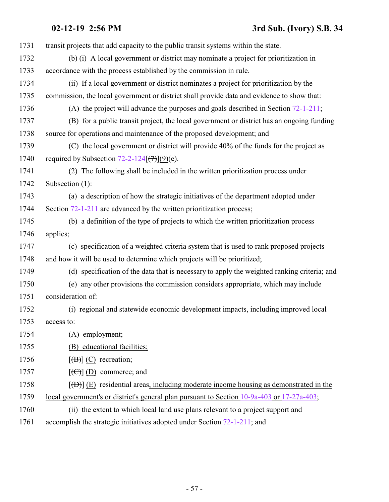| 1731 | transit projects that add capacity to the public transit systems within the state.          |
|------|---------------------------------------------------------------------------------------------|
| 1732 | (b) (i) A local government or district may nominate a project for prioritization in         |
| 1733 | accordance with the process established by the commission in rule.                          |
| 1734 | (ii) If a local government or district nominates a project for prioritization by the        |
| 1735 | commission, the local government or district shall provide data and evidence to show that:  |
| 1736 | (A) the project will advance the purposes and goals described in Section $72-1-211$ ;       |
| 1737 | (B) for a public transit project, the local government or district has an ongoing funding   |
| 1738 | source for operations and maintenance of the proposed development; and                      |
| 1739 | (C) the local government or district will provide 40% of the funds for the project as       |
| 1740 | required by Subsection $72-2-124$ $(\frac{7}{7})$ $(9)(e)$ .                                |
| 1741 | (2) The following shall be included in the written prioritization process under             |
| 1742 | Subsection (1):                                                                             |
| 1743 | (a) a description of how the strategic initiatives of the department adopted under          |
| 1744 | Section 72-1-211 are advanced by the written prioritization process;                        |
| 1745 | (b) a definition of the type of projects to which the written prioritization process        |
| 1746 | applies;                                                                                    |
| 1747 | (c) specification of a weighted criteria system that is used to rank proposed projects      |
| 1748 | and how it will be used to determine which projects will be prioritized;                    |
| 1749 | (d) specification of the data that is necessary to apply the weighted ranking criteria; and |
| 1750 | (e) any other provisions the commission considers appropriate, which may include            |
| 1751 | consideration of:                                                                           |
| 1752 | (i) regional and statewide economic development impacts, including improved local           |
| 1753 | access to:                                                                                  |
| 1754 | (A) employment;                                                                             |
| 1755 | (B) educational facilities;                                                                 |
| 1756 | $[\overline{(B)}]$ (C) recreation;                                                          |
| 1757 | $[\left(\bigoplus\right)]$ (D) commerce; and                                                |
| 1758 | $[\Theta]$ (E) residential areas, including moderate income housing as demonstrated in the  |
| 1759 | local government's or district's general plan pursuant to Section 10-9a-403 or 17-27a-403;  |
| 1760 | (ii) the extent to which local land use plans relevant to a project support and             |
| 1761 | accomplish the strategic initiatives adopted under Section 72-1-211; and                    |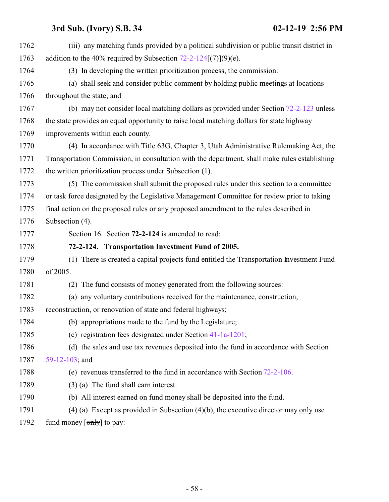<span id="page-57-0"></span>

| 1762 | (iii) any matching funds provided by a political subdivision or public transit district in    |
|------|-----------------------------------------------------------------------------------------------|
| 1763 | addition to the 40% required by Subsection 72-2-124 $(\overline{(7)})(9)(e)$ .                |
| 1764 | (3) In developing the written prioritization process, the commission:                         |
| 1765 | (a) shall seek and consider public comment by holding public meetings at locations            |
| 1766 | throughout the state; and                                                                     |
| 1767 | (b) may not consider local matching dollars as provided under Section $72-2-123$ unless       |
| 1768 | the state provides an equal opportunity to raise local matching dollars for state highway     |
| 1769 | improvements within each county.                                                              |
| 1770 | (4) In accordance with Title 63G, Chapter 3, Utah Administrative Rulemaking Act, the          |
| 1771 | Transportation Commission, in consultation with the department, shall make rules establishing |
| 1772 | the written prioritization process under Subsection (1).                                      |
| 1773 | (5) The commission shall submit the proposed rules under this section to a committee          |
| 1774 | or task force designated by the Legislative Management Committee for review prior to taking   |
| 1775 | final action on the proposed rules or any proposed amendment to the rules described in        |
| 1776 | Subsection (4).                                                                               |
| 1777 | Section 16. Section 72-2-124 is amended to read:                                              |
| 1778 | 72-2-124. Transportation Investment Fund of 2005.                                             |
| 1779 | (1) There is created a capital projects fund entitled the Transportation Investment Fund      |
| 1780 | of 2005.                                                                                      |
| 1781 | The fund consists of money generated from the following sources:<br>(2)                       |
| 1782 | (a) any voluntary contributions received for the maintenance, construction,                   |
| 1783 | reconstruction, or renovation of state and federal highways;                                  |
| 1784 | (b) appropriations made to the fund by the Legislature;                                       |
| 1785 | (c) registration fees designated under Section $41-1a-1201$ ;                                 |
| 1786 | (d) the sales and use tax revenues deposited into the fund in accordance with Section         |
| 1787 | 59-12-103; and                                                                                |
| 1788 | (e) revenues transferred to the fund in accordance with Section $72-2-106$ .                  |
| 1789 | $(3)$ (a) The fund shall earn interest.                                                       |
| 1790 | (b) All interest earned on fund money shall be deposited into the fund.                       |
| 1791 | $(4)$ (a) Except as provided in Subsection $(4)(b)$ , the executive director may only use     |
| 1792 | fund money $[\text{only}]$ to pay:                                                            |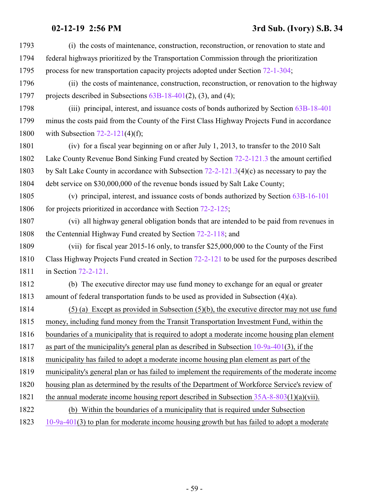| 1793 | (i) the costs of maintenance, construction, reconstruction, or renovation to state and         |
|------|------------------------------------------------------------------------------------------------|
| 1794 | federal highways prioritized by the Transportation Commission through the prioritization       |
| 1795 | process for new transportation capacity projects adopted under Section 72-1-304;               |
| 1796 | (ii) the costs of maintenance, construction, reconstruction, or renovation to the highway      |
| 1797 | projects described in Subsections $63B-18-401(2)$ , (3), and (4);                              |
| 1798 | (iii) principal, interest, and issuance costs of bonds authorized by Section 63B-18-401        |
| 1799 | minus the costs paid from the County of the First Class Highway Projects Fund in accordance    |
| 1800 | with Subsection $72-2-121(4)(f)$ ;                                                             |
| 1801 | (iv) for a fiscal year beginning on or after July 1, 2013, to transfer to the 2010 Salt        |
| 1802 | Lake County Revenue Bond Sinking Fund created by Section 72-2-121.3 the amount certified       |
| 1803 | by Salt Lake County in accordance with Subsection $72-2-121.3(4)(c)$ as necessary to pay the   |
| 1804 | debt service on \$30,000,000 of the revenue bonds issued by Salt Lake County;                  |
| 1805 | (v) principal, interest, and issuance costs of bonds authorized by Section 63B-16-101          |
| 1806 | for projects prioritized in accordance with Section $72-2-125$ ;                               |
| 1807 | (vi) all highway general obligation bonds that are intended to be paid from revenues in        |
| 1808 | the Centennial Highway Fund created by Section 72-2-118; and                                   |
| 1809 | (vii) for fiscal year 2015-16 only, to transfer \$25,000,000 to the County of the First        |
| 1810 | Class Highway Projects Fund created in Section 72-2-121 to be used for the purposes described  |
| 1811 | in Section 72-2-121.                                                                           |
| 1812 | (b) The executive director may use fund money to exchange for an equal or greater              |
| 1813 | amount of federal transportation funds to be used as provided in Subsection $(4)(a)$ .         |
| 1814 | $(5)$ (a) Except as provided in Subsection $(5)(b)$ , the executive director may not use fund  |
| 1815 | money, including fund money from the Transit Transportation Investment Fund, within the        |
| 1816 | boundaries of a municipality that is required to adopt a moderate income housing plan element  |
| 1817 | as part of the municipality's general plan as described in Subsection $10-9a-401(3)$ , if the  |
| 1818 | municipality has failed to adopt a moderate income housing plan element as part of the         |
| 1819 | municipality's general plan or has failed to implement the requirements of the moderate income |
| 1820 | housing plan as determined by the results of the Department of Workforce Service's review of   |
| 1821 | the annual moderate income housing report described in Subsection $35A-8-803(1)(a)(vii)$ .     |
| 1822 | (b) Within the boundaries of a municipality that is required under Subsection                  |
| 1823 | $10-9a-401(3)$ to plan for moderate income housing growth but has failed to adopt a moderate   |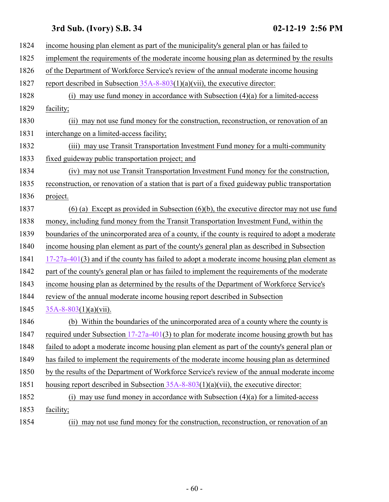| 1824 | income housing plan element as part of the municipality's general plan or has failed to           |
|------|---------------------------------------------------------------------------------------------------|
| 1825 | implement the requirements of the moderate income housing plan as determined by the results       |
| 1826 | of the Department of Workforce Service's review of the annual moderate income housing             |
| 1827 | report described in Subsection $35A-8-803(1)(a)(vii)$ , the executive director:                   |
| 1828 | may use fund money in accordance with Subsection $(4)(a)$ for a limited-access<br>(i)             |
| 1829 | facility;                                                                                         |
| 1830 | (ii) may not use fund money for the construction, reconstruction, or renovation of an             |
| 1831 | interchange on a limited-access facility;                                                         |
| 1832 | (iii) may use Transit Transportation Investment Fund money for a multi-community                  |
| 1833 | fixed guideway public transportation project; and                                                 |
| 1834 | may not use Transit Transportation Investment Fund money for the construction,<br>(iv)            |
| 1835 | reconstruction, or renovation of a station that is part of a fixed guideway public transportation |
| 1836 | project.                                                                                          |
| 1837 | $(6)$ (a) Except as provided in Subsection $(6)(b)$ , the executive director may not use fund     |
| 1838 | money, including fund money from the Transit Transportation Investment Fund, within the           |
| 1839 | boundaries of the unincorporated area of a county, if the county is required to adopt a moderate  |
| 1840 | income housing plan element as part of the county's general plan as described in Subsection       |
| 1841 | $17-27a-401(3)$ and if the county has failed to adopt a moderate income housing plan element as   |
| 1842 | part of the county's general plan or has failed to implement the requirements of the moderate     |
| 1843 | income housing plan as determined by the results of the Department of Workforce Service's         |
| 1844 | review of the annual moderate income housing report described in Subsection                       |
| 1845 | $35A-8-803(1)(a)(vii)$ .                                                                          |
| 1846 | (b) Within the boundaries of the unincorporated area of a county where the county is              |
| 1847 | required under Subsection $17-27a-401(3)$ to plan for moderate income housing growth but has      |
| 1848 | failed to adopt a moderate income housing plan element as part of the county's general plan or    |
| 1849 | has failed to implement the requirements of the moderate income housing plan as determined        |
| 1850 | by the results of the Department of Workforce Service's review of the annual moderate income      |
| 1851 | housing report described in Subsection $35A-8-803(1)(a)(vii)$ , the executive director:           |
| 1852 | (i) may use fund money in accordance with Subsection $(4)(a)$ for a limited-access                |
| 1853 | facility;                                                                                         |
| 1854 | may not use fund money for the construction, reconstruction, or renovation of an<br>(ii)          |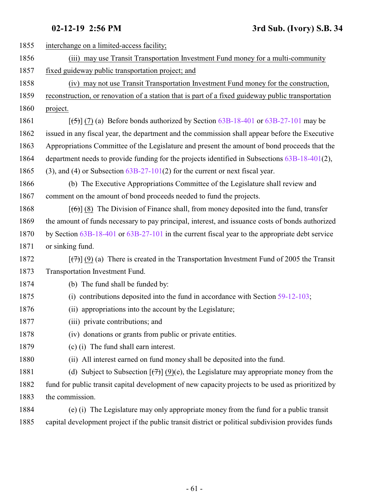| 1855 | interchange on a limited-access facility;                                                                                |
|------|--------------------------------------------------------------------------------------------------------------------------|
| 1856 | (iii) may use Transit Transportation Investment Fund money for a multi-community                                         |
| 1857 | fixed guideway public transportation project; and                                                                        |
| 1858 | (iv) may not use Transit Transportation Investment Fund money for the construction,                                      |
| 1859 | reconstruction, or renovation of a station that is part of a fixed guideway public transportation                        |
| 1860 | project.                                                                                                                 |
| 1861 | $[\frac{1}{5}]$ (7) (a) Before bonds authorized by Section 63B-18-401 or 63B-27-101 may be                               |
| 1862 | issued in any fiscal year, the department and the commission shall appear before the Executive                           |
| 1863 | Appropriations Committee of the Legislature and present the amount of bond proceeds that the                             |
| 1864 | department needs to provide funding for the projects identified in Subsections 63B-18-401(2),                            |
| 1865 | $(3)$ , and $(4)$ or Subsection $63B-27-101(2)$ for the current or next fiscal year.                                     |
| 1866 | (b) The Executive Appropriations Committee of the Legislature shall review and                                           |
| 1867 | comment on the amount of bond proceeds needed to fund the projects.                                                      |
| 1868 | $[\text{f6}]$ (8) The Division of Finance shall, from money deposited into the fund, transfer                            |
| 1869 | the amount of funds necessary to pay principal, interest, and issuance costs of bonds authorized                         |
| 1870 | by Section 63B-18-401 or 63B-27-101 in the current fiscal year to the appropriate debt service                           |
| 1871 | or sinking fund.                                                                                                         |
| 1872 | $[\overline{(\tau)}](9)$ (a) There is created in the Transportation Investment Fund of 2005 the Transit                  |
| 1873 | Transportation Investment Fund.                                                                                          |
| 1874 | (b) The fund shall be funded by:                                                                                         |
| 1875 | contributions deposited into the fund in accordance with Section 59-12-103;<br>(i)                                       |
| 1876 | (ii) appropriations into the account by the Legislature;                                                                 |
| 1877 | (iii) private contributions; and                                                                                         |
| 1878 | (iv) donations or grants from public or private entities.                                                                |
| 1879 | (c) (i) The fund shall earn interest.                                                                                    |
| 1880 | (ii) All interest earned on fund money shall be deposited into the fund.                                                 |
| 1881 | (d) Subject to Subsection $\left[\left(\frac{1}{2}\right)\right]$ (9)(e), the Legislature may appropriate money from the |
| 1882 | fund for public transit capital development of new capacity projects to be used as prioritized by                        |
| 1883 | the commission.                                                                                                          |
| 1884 | (e) (i) The Legislature may only appropriate money from the fund for a public transit                                    |
| 1885 | capital development project if the public transit district or political subdivision provides funds                       |